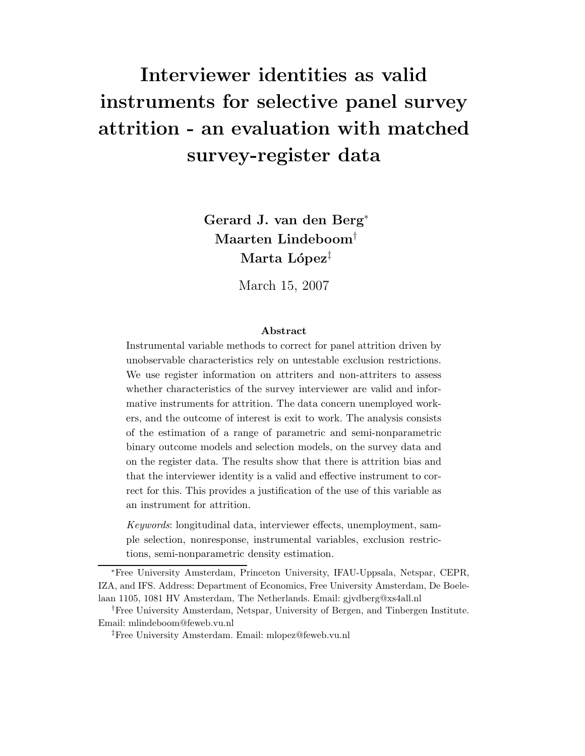# Interviewer identities as valid instruments for selective panel survey attrition - an evaluation with matched survey-register data

Gerard J. van den Berg<sup>∗</sup> Maarten Lindeboom† Marta López<sup>‡</sup>

March 15, 2007

#### Abstract

Instrumental variable methods to correct for panel attrition driven by unobservable characteristics rely on untestable exclusion restrictions. We use register information on attriters and non-attriters to assess whether characteristics of the survey interviewer are valid and informative instruments for attrition. The data concern unemployed workers, and the outcome of interest is exit to work. The analysis consists of the estimation of a range of parametric and semi-nonparametric binary outcome models and selection models, on the survey data and on the register data. The results show that there is attrition bias and that the interviewer identity is a valid and effective instrument to correct for this. This provides a justification of the use of this variable as an instrument for attrition.

Keywords: longitudinal data, interviewer effects, unemployment, sample selection, nonresponse, instrumental variables, exclusion restrictions, semi-nonparametric density estimation.

<sup>∗</sup>Free University Amsterdam, Princeton University, IFAU-Uppsala, Netspar, CEPR, IZA, and IFS. Address: Department of Economics, Free University Amsterdam, De Boelelaan 1105, 1081 HV Amsterdam, The Netherlands. Email: gjvdberg@xs4all.nl

†Free University Amsterdam, Netspar, University of Bergen, and Tinbergen Institute. Email: mlindeboom@feweb.vu.nl

‡Free University Amsterdam. Email: mlopez@feweb.vu.nl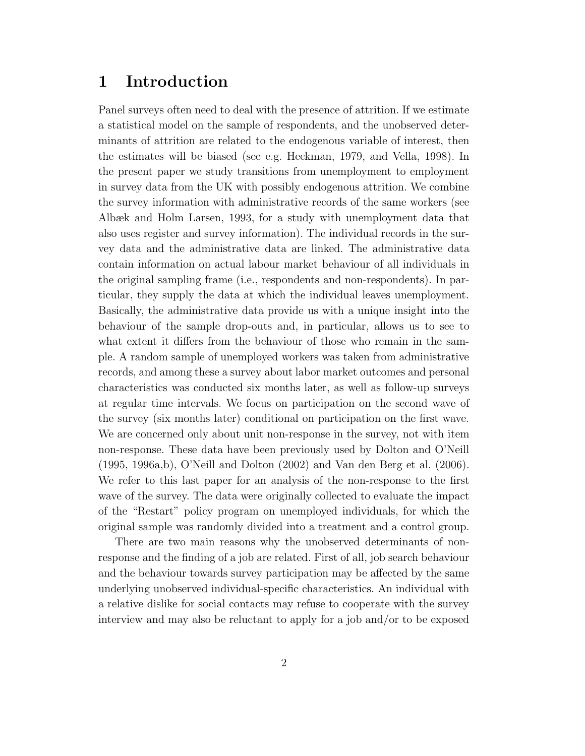### 1 Introduction

Panel surveys often need to deal with the presence of attrition. If we estimate a statistical model on the sample of respondents, and the unobserved determinants of attrition are related to the endogenous variable of interest, then the estimates will be biased (see e.g. Heckman, 1979, and Vella, 1998). In the present paper we study transitions from unemployment to employment in survey data from the UK with possibly endogenous attrition. We combine the survey information with administrative records of the same workers (see Albæk and Holm Larsen, 1993, for a study with unemployment data that also uses register and survey information). The individual records in the survey data and the administrative data are linked. The administrative data contain information on actual labour market behaviour of all individuals in the original sampling frame (i.e., respondents and non-respondents). In particular, they supply the data at which the individual leaves unemployment. Basically, the administrative data provide us with a unique insight into the behaviour of the sample drop-outs and, in particular, allows us to see to what extent it differs from the behaviour of those who remain in the sample. A random sample of unemployed workers was taken from administrative records, and among these a survey about labor market outcomes and personal characteristics was conducted six months later, as well as follow-up surveys at regular time intervals. We focus on participation on the second wave of the survey (six months later) conditional on participation on the first wave. We are concerned only about unit non-response in the survey, not with item non-response. These data have been previously used by Dolton and O'Neill (1995, 1996a,b), O'Neill and Dolton (2002) and Van den Berg et al. (2006). We refer to this last paper for an analysis of the non-response to the first wave of the survey. The data were originally collected to evaluate the impact of the "Restart" policy program on unemployed individuals, for which the original sample was randomly divided into a treatment and a control group.

There are two main reasons why the unobserved determinants of nonresponse and the finding of a job are related. First of all, job search behaviour and the behaviour towards survey participation may be affected by the same underlying unobserved individual-specific characteristics. An individual with a relative dislike for social contacts may refuse to cooperate with the survey interview and may also be reluctant to apply for a job and/or to be exposed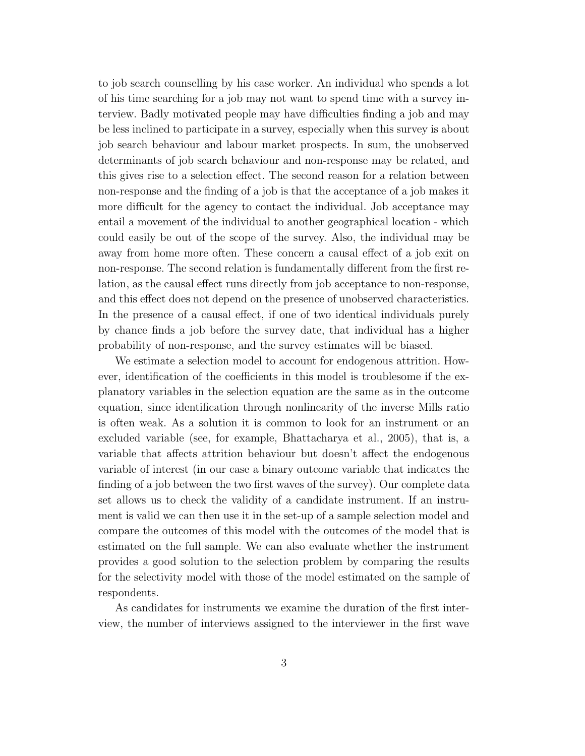to job search counselling by his case worker. An individual who spends a lot of his time searching for a job may not want to spend time with a survey interview. Badly motivated people may have difficulties finding a job and may be less inclined to participate in a survey, especially when this survey is about job search behaviour and labour market prospects. In sum, the unobserved determinants of job search behaviour and non-response may be related, and this gives rise to a selection effect. The second reason for a relation between non-response and the finding of a job is that the acceptance of a job makes it more difficult for the agency to contact the individual. Job acceptance may entail a movement of the individual to another geographical location - which could easily be out of the scope of the survey. Also, the individual may be away from home more often. These concern a causal effect of a job exit on non-response. The second relation is fundamentally different from the first relation, as the causal effect runs directly from job acceptance to non-response, and this effect does not depend on the presence of unobserved characteristics. In the presence of a causal effect, if one of two identical individuals purely by chance finds a job before the survey date, that individual has a higher probability of non-response, and the survey estimates will be biased.

We estimate a selection model to account for endogenous attrition. However, identification of the coefficients in this model is troublesome if the explanatory variables in the selection equation are the same as in the outcome equation, since identification through nonlinearity of the inverse Mills ratio is often weak. As a solution it is common to look for an instrument or an excluded variable (see, for example, Bhattacharya et al., 2005), that is, a variable that affects attrition behaviour but doesn't affect the endogenous variable of interest (in our case a binary outcome variable that indicates the finding of a job between the two first waves of the survey). Our complete data set allows us to check the validity of a candidate instrument. If an instrument is valid we can then use it in the set-up of a sample selection model and compare the outcomes of this model with the outcomes of the model that is estimated on the full sample. We can also evaluate whether the instrument provides a good solution to the selection problem by comparing the results for the selectivity model with those of the model estimated on the sample of respondents.

As candidates for instruments we examine the duration of the first interview, the number of interviews assigned to the interviewer in the first wave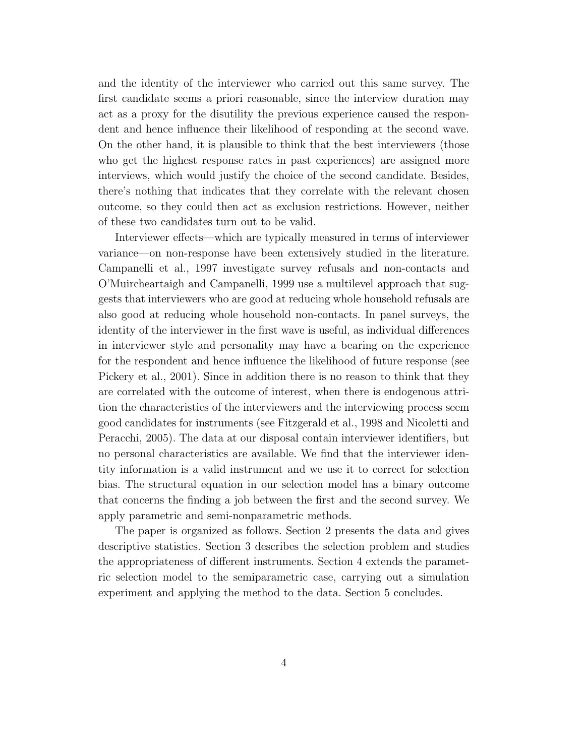and the identity of the interviewer who carried out this same survey. The first candidate seems a priori reasonable, since the interview duration may act as a proxy for the disutility the previous experience caused the respondent and hence influence their likelihood of responding at the second wave. On the other hand, it is plausible to think that the best interviewers (those who get the highest response rates in past experiences) are assigned more interviews, which would justify the choice of the second candidate. Besides, there's nothing that indicates that they correlate with the relevant chosen outcome, so they could then act as exclusion restrictions. However, neither of these two candidates turn out to be valid.

Interviewer effects—which are typically measured in terms of interviewer variance—on non-response have been extensively studied in the literature. Campanelli et al., 1997 investigate survey refusals and non-contacts and O'Muircheartaigh and Campanelli, 1999 use a multilevel approach that suggests that interviewers who are good at reducing whole household refusals are also good at reducing whole household non-contacts. In panel surveys, the identity of the interviewer in the first wave is useful, as individual differences in interviewer style and personality may have a bearing on the experience for the respondent and hence influence the likelihood of future response (see Pickery et al., 2001). Since in addition there is no reason to think that they are correlated with the outcome of interest, when there is endogenous attrition the characteristics of the interviewers and the interviewing process seem good candidates for instruments (see Fitzgerald et al., 1998 and Nicoletti and Peracchi, 2005). The data at our disposal contain interviewer identifiers, but no personal characteristics are available. We find that the interviewer identity information is a valid instrument and we use it to correct for selection bias. The structural equation in our selection model has a binary outcome that concerns the finding a job between the first and the second survey. We apply parametric and semi-nonparametric methods.

The paper is organized as follows. Section 2 presents the data and gives descriptive statistics. Section 3 describes the selection problem and studies the appropriateness of different instruments. Section 4 extends the parametric selection model to the semiparametric case, carrying out a simulation experiment and applying the method to the data. Section 5 concludes.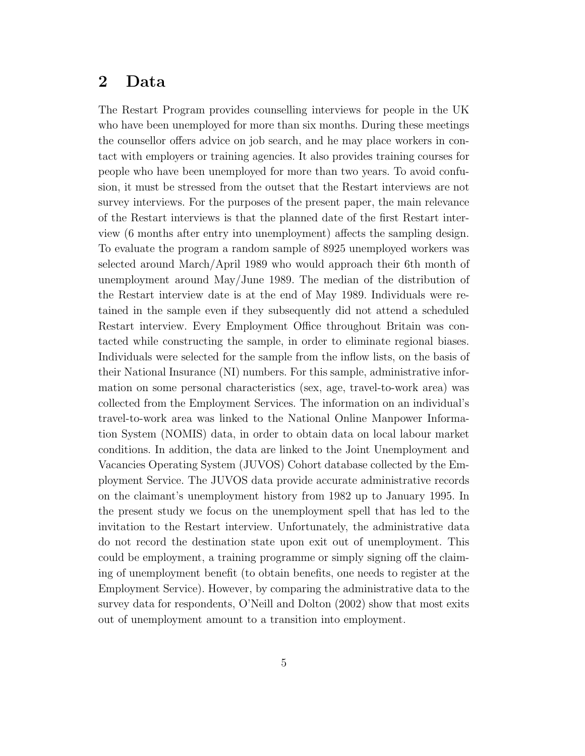### 2 Data

The Restart Program provides counselling interviews for people in the UK who have been unemployed for more than six months. During these meetings the counsellor offers advice on job search, and he may place workers in contact with employers or training agencies. It also provides training courses for people who have been unemployed for more than two years. To avoid confusion, it must be stressed from the outset that the Restart interviews are not survey interviews. For the purposes of the present paper, the main relevance of the Restart interviews is that the planned date of the first Restart interview (6 months after entry into unemployment) affects the sampling design. To evaluate the program a random sample of 8925 unemployed workers was selected around March/April 1989 who would approach their 6th month of unemployment around May/June 1989. The median of the distribution of the Restart interview date is at the end of May 1989. Individuals were retained in the sample even if they subsequently did not attend a scheduled Restart interview. Every Employment Office throughout Britain was contacted while constructing the sample, in order to eliminate regional biases. Individuals were selected for the sample from the inflow lists, on the basis of their National Insurance (NI) numbers. For this sample, administrative information on some personal characteristics (sex, age, travel-to-work area) was collected from the Employment Services. The information on an individual's travel-to-work area was linked to the National Online Manpower Information System (NOMIS) data, in order to obtain data on local labour market conditions. In addition, the data are linked to the Joint Unemployment and Vacancies Operating System (JUVOS) Cohort database collected by the Employment Service. The JUVOS data provide accurate administrative records on the claimant's unemployment history from 1982 up to January 1995. In the present study we focus on the unemployment spell that has led to the invitation to the Restart interview. Unfortunately, the administrative data do not record the destination state upon exit out of unemployment. This could be employment, a training programme or simply signing off the claiming of unemployment benefit (to obtain benefits, one needs to register at the Employment Service). However, by comparing the administrative data to the survey data for respondents, O'Neill and Dolton (2002) show that most exits out of unemployment amount to a transition into employment.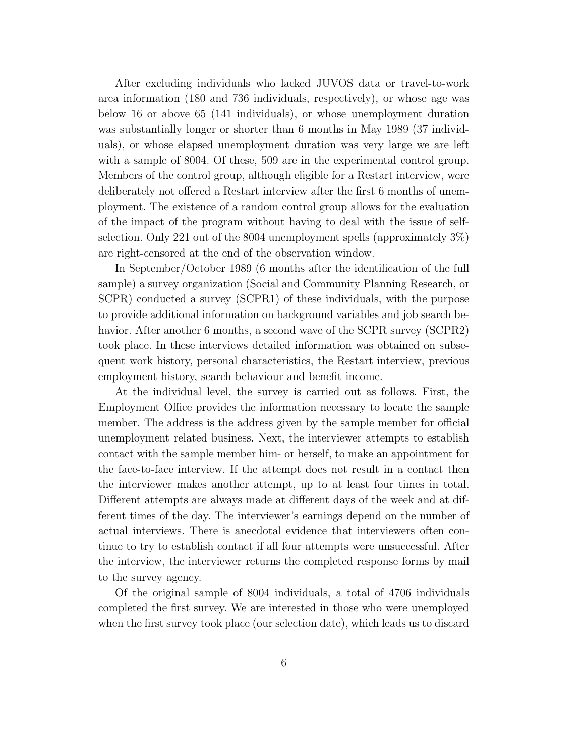After excluding individuals who lacked JUVOS data or travel-to-work area information (180 and 736 individuals, respectively), or whose age was below 16 or above 65 (141 individuals), or whose unemployment duration was substantially longer or shorter than 6 months in May 1989 (37 individuals), or whose elapsed unemployment duration was very large we are left with a sample of 8004. Of these, 509 are in the experimental control group. Members of the control group, although eligible for a Restart interview, were deliberately not offered a Restart interview after the first 6 months of unemployment. The existence of a random control group allows for the evaluation of the impact of the program without having to deal with the issue of selfselection. Only 221 out of the 8004 unemployment spells (approximately 3%) are right-censored at the end of the observation window.

In September/October 1989 (6 months after the identification of the full sample) a survey organization (Social and Community Planning Research, or SCPR) conducted a survey (SCPR1) of these individuals, with the purpose to provide additional information on background variables and job search behavior. After another 6 months, a second wave of the SCPR survey (SCPR2) took place. In these interviews detailed information was obtained on subsequent work history, personal characteristics, the Restart interview, previous employment history, search behaviour and benefit income.

At the individual level, the survey is carried out as follows. First, the Employment Office provides the information necessary to locate the sample member. The address is the address given by the sample member for official unemployment related business. Next, the interviewer attempts to establish contact with the sample member him- or herself, to make an appointment for the face-to-face interview. If the attempt does not result in a contact then the interviewer makes another attempt, up to at least four times in total. Different attempts are always made at different days of the week and at different times of the day. The interviewer's earnings depend on the number of actual interviews. There is anecdotal evidence that interviewers often continue to try to establish contact if all four attempts were unsuccessful. After the interview, the interviewer returns the completed response forms by mail to the survey agency.

Of the original sample of 8004 individuals, a total of 4706 individuals completed the first survey. We are interested in those who were unemployed when the first survey took place (our selection date), which leads us to discard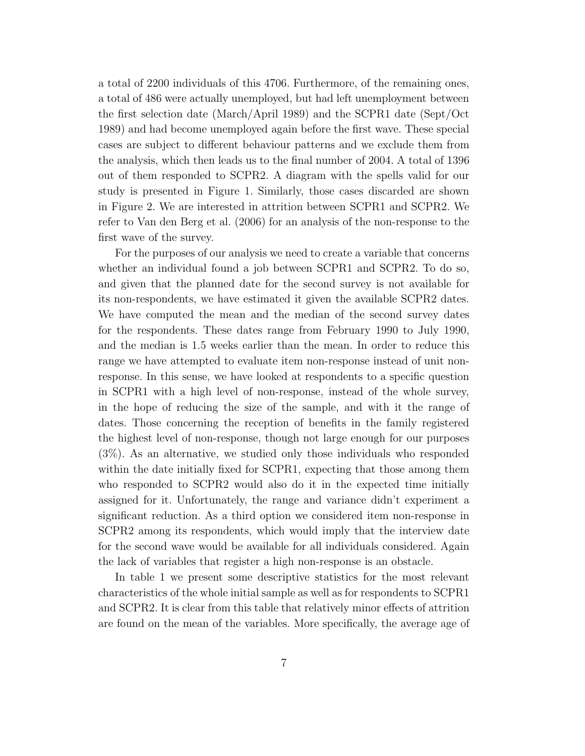a total of 2200 individuals of this 4706. Furthermore, of the remaining ones, a total of 486 were actually unemployed, but had left unemployment between the first selection date (March/April 1989) and the SCPR1 date (Sept/Oct 1989) and had become unemployed again before the first wave. These special cases are subject to different behaviour patterns and we exclude them from the analysis, which then leads us to the final number of 2004. A total of 1396 out of them responded to SCPR2. A diagram with the spells valid for our study is presented in Figure 1. Similarly, those cases discarded are shown in Figure 2. We are interested in attrition between SCPR1 and SCPR2. We refer to Van den Berg et al. (2006) for an analysis of the non-response to the first wave of the survey.

For the purposes of our analysis we need to create a variable that concerns whether an individual found a job between SCPR1 and SCPR2. To do so, and given that the planned date for the second survey is not available for its non-respondents, we have estimated it given the available SCPR2 dates. We have computed the mean and the median of the second survey dates for the respondents. These dates range from February 1990 to July 1990, and the median is 1.5 weeks earlier than the mean. In order to reduce this range we have attempted to evaluate item non-response instead of unit nonresponse. In this sense, we have looked at respondents to a specific question in SCPR1 with a high level of non-response, instead of the whole survey, in the hope of reducing the size of the sample, and with it the range of dates. Those concerning the reception of benefits in the family registered the highest level of non-response, though not large enough for our purposes (3%). As an alternative, we studied only those individuals who responded within the date initially fixed for SCPR1, expecting that those among them who responded to SCPR2 would also do it in the expected time initially assigned for it. Unfortunately, the range and variance didn't experiment a significant reduction. As a third option we considered item non-response in SCPR2 among its respondents, which would imply that the interview date for the second wave would be available for all individuals considered. Again the lack of variables that register a high non-response is an obstacle.

In table 1 we present some descriptive statistics for the most relevant characteristics of the whole initial sample as well as for respondents to SCPR1 and SCPR2. It is clear from this table that relatively minor effects of attrition are found on the mean of the variables. More specifically, the average age of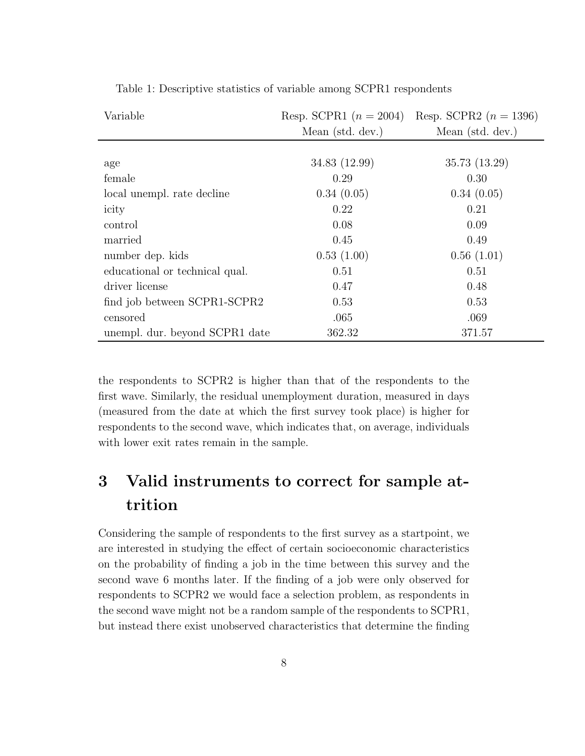| Variable                       | Resp. SCPR1 $(n = 2004)$ | Resp. SCPR2 $(n = 1396)$ |  |  |
|--------------------------------|--------------------------|--------------------------|--|--|
|                                | Mean (std. dev.)         | Mean (std. dev.)         |  |  |
|                                |                          |                          |  |  |
| age                            | 34.83 (12.99)            | 35.73 (13.29)            |  |  |
| female                         | 0.29                     | 0.30                     |  |  |
| local unempl. rate decline     | 0.34(0.05)               | 0.34(0.05)               |  |  |
| icity                          | 0.22                     | 0.21                     |  |  |
| control                        | 0.08                     | 0.09                     |  |  |
| married                        | 0.45                     | 0.49                     |  |  |
| number dep. kids               | 0.53(1.00)               | 0.56(1.01)               |  |  |
| educational or technical qual. | 0.51                     | 0.51                     |  |  |
| driver license                 | 0.47                     | 0.48                     |  |  |
| find job between SCPR1-SCPR2   | 0.53                     | 0.53                     |  |  |
| censored                       | .065                     | .069                     |  |  |
| unempl. dur. beyond SCPR1 date | 362.32                   | 371.57                   |  |  |

Table 1: Descriptive statistics of variable among SCPR1 respondents

the respondents to SCPR2 is higher than that of the respondents to the first wave. Similarly, the residual unemployment duration, measured in days (measured from the date at which the first survey took place) is higher for respondents to the second wave, which indicates that, on average, individuals with lower exit rates remain in the sample.

## 3 Valid instruments to correct for sample attrition

Considering the sample of respondents to the first survey as a startpoint, we are interested in studying the effect of certain socioeconomic characteristics on the probability of finding a job in the time between this survey and the second wave 6 months later. If the finding of a job were only observed for respondents to SCPR2 we would face a selection problem, as respondents in the second wave might not be a random sample of the respondents to SCPR1, but instead there exist unobserved characteristics that determine the finding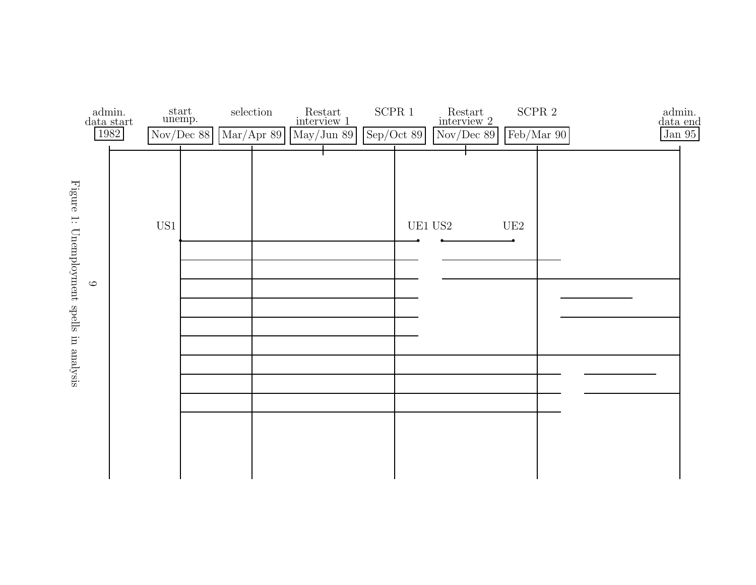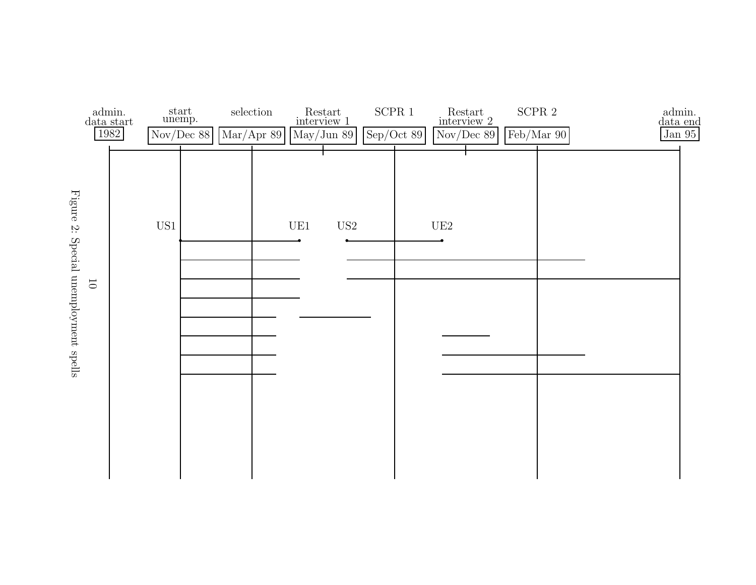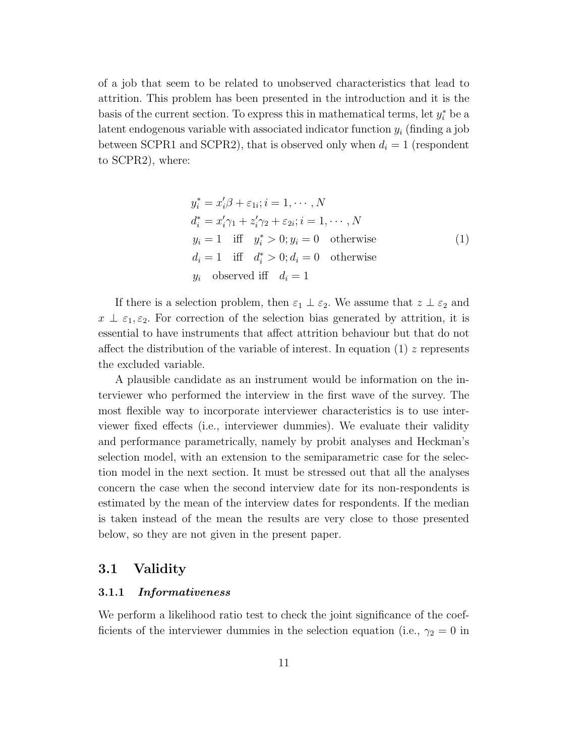of a job that seem to be related to unobserved characteristics that lead to attrition. This problem has been presented in the introduction and it is the basis of the current section. To express this in mathematical terms, let  $y_i^*$  be a latent endogenous variable with associated indicator function  $y_i$  (finding a job between SCPR1 and SCPR2), that is observed only when  $d_i = 1$  (respondent to SCPR2), where:

$$
y_i^* = x_i'\beta + \varepsilon_{1i}; i = 1, \cdots, N
$$
  
\n
$$
d_i^* = x_i'\gamma_1 + z_i'\gamma_2 + \varepsilon_{2i}; i = 1, \cdots, N
$$
  
\n
$$
y_i = 1 \quad \text{iff} \quad y_i^* > 0; y_i = 0 \quad \text{otherwise}
$$
  
\n
$$
d_i = 1 \quad \text{iff} \quad d_i^* > 0; d_i = 0 \quad \text{otherwise}
$$
  
\n
$$
y_i \quad \text{observed iff} \quad d_i = 1
$$
 (1)

If there is a selection problem, then  $\varepsilon_1 \perp \varepsilon_2$ . We assume that  $z \perp \varepsilon_2$  and  $x \perp \varepsilon_1, \varepsilon_2$ . For correction of the selection bias generated by attrition, it is essential to have instruments that affect attrition behaviour but that do not affect the distribution of the variable of interest. In equation (1) z represents the excluded variable.

A plausible candidate as an instrument would be information on the interviewer who performed the interview in the first wave of the survey. The most flexible way to incorporate interviewer characteristics is to use interviewer fixed effects (i.e., interviewer dummies). We evaluate their validity and performance parametrically, namely by probit analyses and Heckman's selection model, with an extension to the semiparametric case for the selection model in the next section. It must be stressed out that all the analyses concern the case when the second interview date for its non-respondents is estimated by the mean of the interview dates for respondents. If the median is taken instead of the mean the results are very close to those presented below, so they are not given in the present paper.

#### 3.1 Validity

#### 3.1.1 Informativeness

We perform a likelihood ratio test to check the joint significance of the coefficients of the interviewer dummies in the selection equation (i.e.,  $\gamma_2 = 0$  in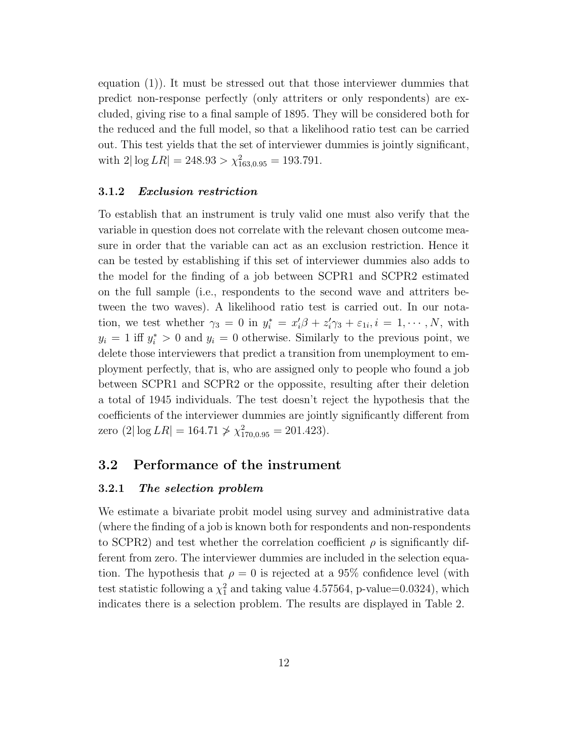equation (1)). It must be stressed out that those interviewer dummies that predict non-response perfectly (only attriters or only respondents) are excluded, giving rise to a final sample of 1895. They will be considered both for the reduced and the full model, so that a likelihood ratio test can be carried out. This test yields that the set of interviewer dummies is jointly significant, with  $2|\log LR| = 248.93 > \chi^2_{163,0.95} = 193.791.$ 

#### 3.1.2 Exclusion restriction

To establish that an instrument is truly valid one must also verify that the variable in question does not correlate with the relevant chosen outcome measure in order that the variable can act as an exclusion restriction. Hence it can be tested by establishing if this set of interviewer dummies also adds to the model for the finding of a job between SCPR1 and SCPR2 estimated on the full sample (i.e., respondents to the second wave and attriters between the two waves). A likelihood ratio test is carried out. In our notation, we test whether  $\gamma_3 = 0$  in  $y_i^* = x_i' \beta + z_i' \gamma_3 + \varepsilon_{1i}, i = 1, \dots, N$ , with  $y_i = 1$  iff  $y_i^* > 0$  and  $y_i = 0$  otherwise. Similarly to the previous point, we delete those interviewers that predict a transition from unemployment to employment perfectly, that is, who are assigned only to people who found a job between SCPR1 and SCPR2 or the oppossite, resulting after their deletion a total of 1945 individuals. The test doesn't reject the hypothesis that the coefficients of the interviewer dummies are jointly significantly different from zero  $(2|\log LR| = 164.71 \not> \chi^2_{170,0.95} = 201.423).$ 

#### 3.2 Performance of the instrument

#### 3.2.1 The selection problem

We estimate a bivariate probit model using survey and administrative data (where the finding of a job is known both for respondents and non-respondents to SCPR2) and test whether the correlation coefficient  $\rho$  is significantly different from zero. The interviewer dummies are included in the selection equation. The hypothesis that  $\rho = 0$  is rejected at a 95% confidence level (with test statistic following a  $\chi_1^2$  and taking value 4.57564, p-value=0.0324), which indicates there is a selection problem. The results are displayed in Table 2.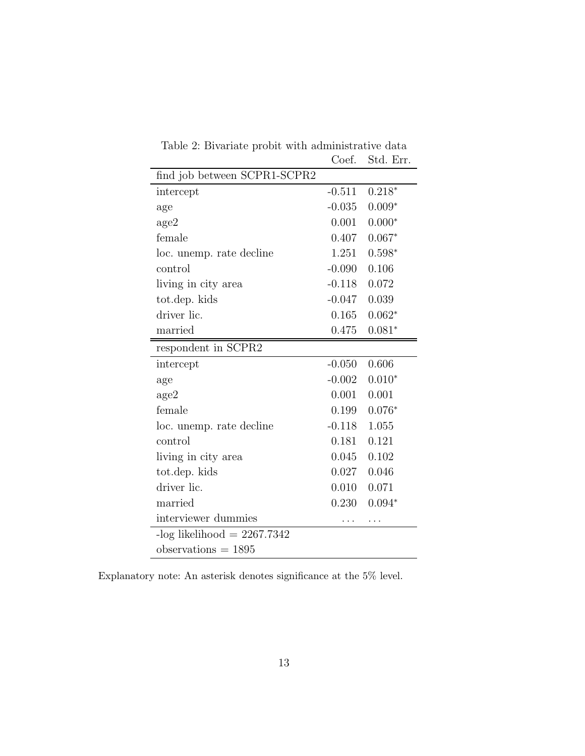| find job between SCPR1-SCPR2  |          |          |
|-------------------------------|----------|----------|
| intercept                     | $-0.511$ | $0.218*$ |
| age                           | $-0.035$ | $0.009*$ |
| age2                          | 0.001    | $0.000*$ |
| female                        | 0.407    | $0.067*$ |
| loc. unemp. rate decline      | 1.251    | $0.598*$ |
| control                       | $-0.090$ | 0.106    |
| living in city area           | $-0.118$ | 0.072    |
| tot.dep. kids                 | $-0.047$ | 0.039    |
| driver lic.                   | 0.165    | $0.062*$ |
| married                       | 0.475    | $0.081*$ |
| respondent in SCPR2           |          |          |
| intercept                     | $-0.050$ | 0.606    |
| age                           | $-0.002$ | $0.010*$ |
| age2                          | 0.001    | 0.001    |
| female                        | 0.199    | $0.076*$ |
| loc. unemp. rate decline      | $-0.118$ | 1.055    |
| control                       | 0.181    | 0.121    |
| living in city area           | 0.045    | 0.102    |
| tot.dep. kids                 | 0.027    | 0.046    |
| driver lic.                   | 0.010    | 0.071    |
| married                       | 0.230    | $0.094*$ |
| interviewer dummies           |          |          |
| -log likelihood = $2267.7342$ |          |          |
| observations $= 1895$         |          |          |

Table 2: Bivariate probit with administrative data Coef. Std. Err.

Explanatory note: An asterisk denotes significance at the  $5\%$  level.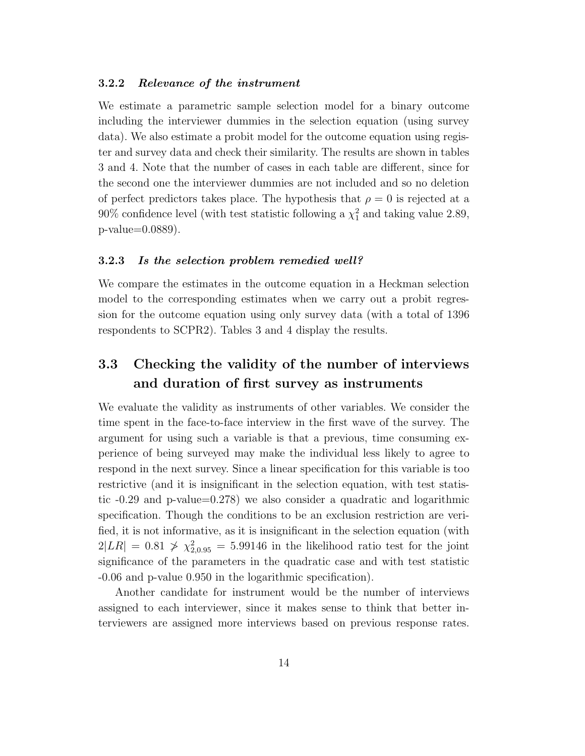#### 3.2.2 Relevance of the instrument

We estimate a parametric sample selection model for a binary outcome including the interviewer dummies in the selection equation (using survey data). We also estimate a probit model for the outcome equation using register and survey data and check their similarity. The results are shown in tables 3 and 4. Note that the number of cases in each table are different, since for the second one the interviewer dummies are not included and so no deletion of perfect predictors takes place. The hypothesis that  $\rho = 0$  is rejected at a 90% confidence level (with test statistic following a  $\chi_1^2$  and taking value 2.89, p-value=0.0889).

#### 3.2.3 Is the selection problem remedied well?

We compare the estimates in the outcome equation in a Heckman selection model to the corresponding estimates when we carry out a probit regression for the outcome equation using only survey data (with a total of 1396 respondents to SCPR2). Tables 3 and 4 display the results.

### 3.3 Checking the validity of the number of interviews and duration of first survey as instruments

We evaluate the validity as instruments of other variables. We consider the time spent in the face-to-face interview in the first wave of the survey. The argument for using such a variable is that a previous, time consuming experience of being surveyed may make the individual less likely to agree to respond in the next survey. Since a linear specification for this variable is too restrictive (and it is insignificant in the selection equation, with test statistic -0.29 and p-value=0.278) we also consider a quadratic and logarithmic specification. Though the conditions to be an exclusion restriction are verified, it is not informative, as it is insignificant in the selection equation (with  $2|LR| = 0.81 \nless \chi^2_{2,0.95} = 5.99146$  in the likelihood ratio test for the joint significance of the parameters in the quadratic case and with test statistic -0.06 and p-value 0.950 in the logarithmic specification).

Another candidate for instrument would be the number of interviews assigned to each interviewer, since it makes sense to think that better interviewers are assigned more interviews based on previous response rates.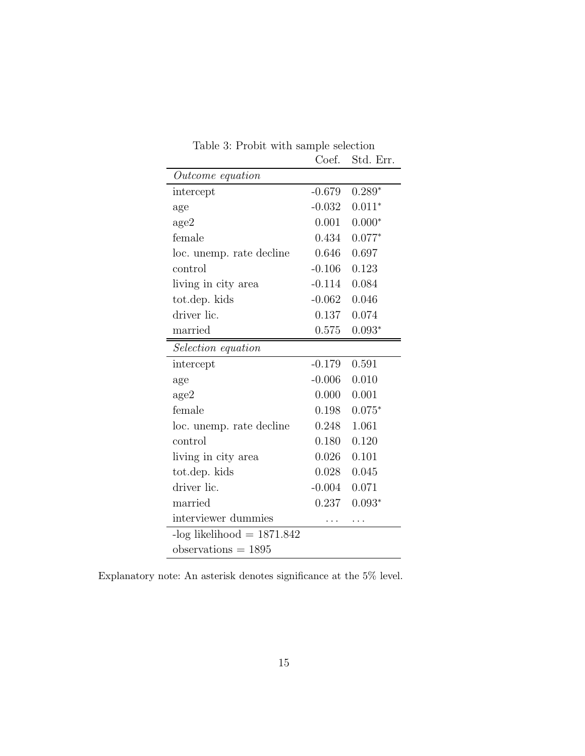|                              | Coef.    | Std. Err. |
|------------------------------|----------|-----------|
| Outcome equation             |          |           |
| intercept                    | $-0.679$ | $0.289*$  |
| age                          | $-0.032$ | $0.011*$  |
| age2                         | 0.001    | $0.000*$  |
| female                       | 0.434    | $0.077*$  |
| loc. unemp. rate decline     | 0.646    | 0.697     |
| control                      | $-0.106$ | 0.123     |
| living in city area          | $-0.114$ | 0.084     |
| tot.dep. kids                | $-0.062$ | 0.046     |
| driver lic.                  | 0.137    | 0.074     |
| married                      | 0.575    | $0.093*$  |
| <i>Selection equation</i>    |          |           |
| intercept                    | $-0.179$ | 0.591     |
| age                          | $-0.006$ | 0.010     |
| age2                         | 0.000    | 0.001     |
| female                       | 0.198    | $0.075*$  |
| loc. unemp. rate decline     | 0.248    | 1.061     |
| control                      | 0.180    | 0.120     |
| living in city area          | 0.026    | 0.101     |
| tot.dep. kids                | 0.028    | 0.045     |
| driver lic.                  | $-0.004$ | 0.071     |
| married                      | 0.237    | $0.093*$  |
| interviewer dummies          |          |           |
| $-log$ likelihood = 1871.842 |          |           |
| $observations = 1895$        |          |           |

Table 3: Probit with sample selection

Explanatory note: An asterisk denotes significance at the  $5\%$  level.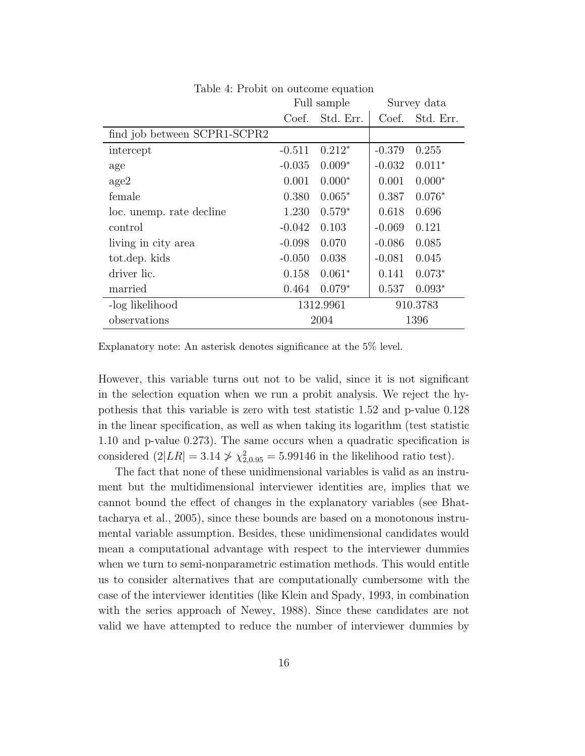|                              |          | Full sample | Survey data |           |  |
|------------------------------|----------|-------------|-------------|-----------|--|
|                              | Coef.    | Std. Err.   | Coef.       | Std. Err. |  |
| find job between SCPR1-SCPR2 |          |             |             |           |  |
| intercept                    | $-0.511$ | $0.212*$    | $-0.379$    | 0.255     |  |
| age                          | $-0.035$ | $0.009*$    | $-0.032$    | $0.011*$  |  |
| age2                         | 0.001    | $0.000*$    | 0.001       | $0.000*$  |  |
| female                       | 0.380    | $0.065*$    | 0.387       | $0.076*$  |  |
| loc. unemp. rate decline     | 1.230    | $0.579*$    | 0.618       | 0.696     |  |
| control                      | $-0.042$ | 0.103       | $-0.069$    | 0.121     |  |
| living in city area          | $-0.098$ | 0.070       | $-0.086$    | 0.085     |  |
| tot.dep. kids                | $-0.050$ | 0.038       | $-0.081$    | 0.045     |  |
| driver lic.                  | 0.158    | $0.061*$    | 0.141       | $0.073*$  |  |
| married                      | 0.464    | $0.079*$    | 0.537       | $0.093*$  |  |
| -log likelihood              |          | 1312.9961   | 910.3783    |           |  |
| observations                 | 2004     |             | 1396        |           |  |

Table 4: Probit on outcome equation

Explanatory note: An asterisk denotes significance at the 5% level.

However, this variable turns out not to be valid, since it is not significant in the selection equation when we run a probit analysis. We reject the hypothesis that this variable is zero with test statistic 1.52 and p-value 0.128 in the linear specification, as well as when taking its logarithm (test statistic 1.10 and p-value 0.273). The same occurs when a quadratic specification is considered  $(2|LR| = 3.14 \nless \nless \nless \nless 2_{0.95} = 5.99146$  in the likelihood ratio test).

The fact that none of these unidimensional variables is valid as an instrument but the multidimensional interviewer identities are, implies that we cannot bound the effect of changes in the explanatory variables (see Bhattacharya et al., 2005), since these bounds are based on a monotonous instrumental variable assumption. Besides, these unidimensional candidates would mean a computational advantage with respect to the interviewer dummies when we turn to semi-nonparametric estimation methods. This would entitle us to consider alternatives that are computationally cumbersome with the case of the interviewer identities (like Klein and Spady, 1993, in combination with the series approach of Newey, 1988). Since these candidates are not valid we have attempted to reduce the number of interviewer dummies by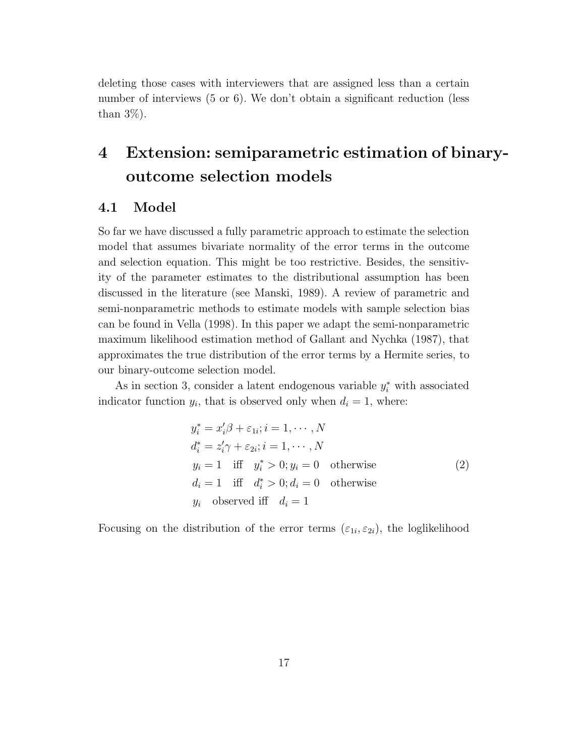deleting those cases with interviewers that are assigned less than a certain number of interviews (5 or 6). We don't obtain a significant reduction (less than  $3\%$ ).

## 4 Extension: semiparametric estimation of binaryoutcome selection models

#### 4.1 Model

So far we have discussed a fully parametric approach to estimate the selection model that assumes bivariate normality of the error terms in the outcome and selection equation. This might be too restrictive. Besides, the sensitivity of the parameter estimates to the distributional assumption has been discussed in the literature (see Manski, 1989). A review of parametric and semi-nonparametric methods to estimate models with sample selection bias can be found in Vella (1998). In this paper we adapt the semi-nonparametric maximum likelihood estimation method of Gallant and Nychka (1987), that approximates the true distribution of the error terms by a Hermite series, to our binary-outcome selection model.

As in section 3, consider a latent endogenous variable  $y_i^*$  with associated indicator function  $y_i$ , that is observed only when  $d_i = 1$ , where:

$$
y_i^* = x_i'\beta + \varepsilon_{1i}; i = 1, \cdots, N
$$
  
\n
$$
d_i^* = z_i'\gamma + \varepsilon_{2i}; i = 1, \cdots, N
$$
  
\n
$$
y_i = 1 \quad \text{iff} \quad y_i^* > 0; y_i = 0 \quad \text{otherwise}
$$
  
\n
$$
d_i = 1 \quad \text{iff} \quad d_i^* > 0; d_i = 0 \quad \text{otherwise}
$$
  
\n
$$
y_i \quad \text{observed iff} \quad d_i = 1
$$

Focusing on the distribution of the error terms  $(\varepsilon_{1i}, \varepsilon_{2i})$ , the loglikelihood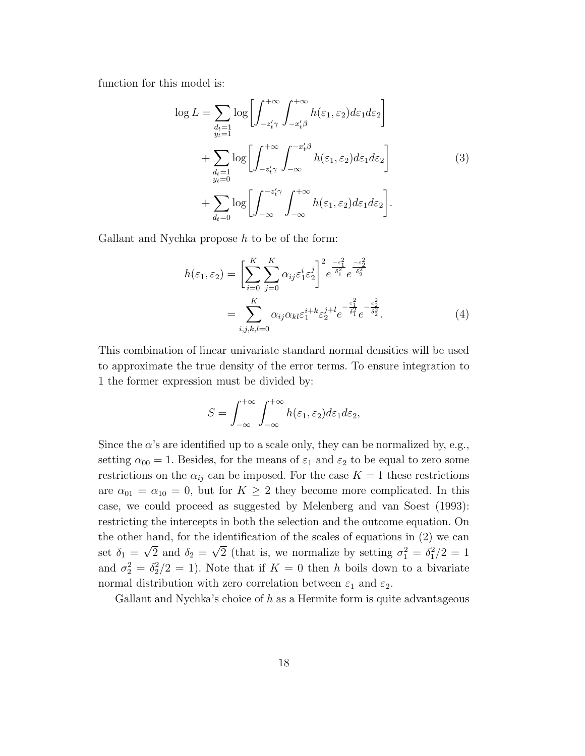function for this model is:

$$
\log L = \sum_{\substack{d_t=1 \\ y_t=1}} \log \left[ \int_{-z'_t \gamma}^{+\infty} \int_{-x'_t \beta}^{+\infty} h(\varepsilon_1, \varepsilon_2) d\varepsilon_1 d\varepsilon_2 \right]
$$
  
+ 
$$
\sum_{\substack{d_t=1 \\ y_t=0}} \log \left[ \int_{-z'_t \gamma}^{+\infty} \int_{-\infty}^{-x'_t \beta} h(\varepsilon_1, \varepsilon_2) d\varepsilon_1 d\varepsilon_2 \right]
$$
  
+ 
$$
\sum_{d_t=0} \log \left[ \int_{-\infty}^{-z'_t \gamma} \int_{-\infty}^{+\infty} h(\varepsilon_1, \varepsilon_2) d\varepsilon_1 d\varepsilon_2 \right].
$$
 (3)

Gallant and Nychka propose  $h$  to be of the form:

$$
h(\varepsilon_1, \varepsilon_2) = \left[ \sum_{i=0}^{K} \sum_{j=0}^{K} \alpha_{ij} \varepsilon_1^i \varepsilon_2^j \right]^2 e^{\frac{-\varepsilon_1^2}{\delta_1^2}} e^{\frac{-\varepsilon_2^2}{\delta_2^2}}
$$
  
= 
$$
\sum_{i,j,k,l=0}^{K} \alpha_{ij} \alpha_{kl} \varepsilon_1^{i+k} \varepsilon_2^{j+l} e^{-\frac{\varepsilon_1^2}{\delta_1^2}} e^{-\frac{\varepsilon_2^2}{\delta_2^2}}.
$$
 (4)

This combination of linear univariate standard normal densities will be used to approximate the true density of the error terms. To ensure integration to 1 the former expression must be divided by:

$$
S = \int_{-\infty}^{+\infty} \int_{-\infty}^{+\infty} h(\varepsilon_1, \varepsilon_2) d\varepsilon_1 d\varepsilon_2,
$$

Since the  $\alpha$ 's are identified up to a scale only, they can be normalized by, e.g., setting  $\alpha_{00} = 1$ . Besides, for the means of  $\varepsilon_1$  and  $\varepsilon_2$  to be equal to zero some restrictions on the  $\alpha_{ij}$  can be imposed. For the case  $K = 1$  these restrictions are  $\alpha_{01} = \alpha_{10} = 0$ , but for  $K \geq 2$  they become more complicated. In this case, we could proceed as suggested by Melenberg and van Soest (1993): restricting the intercepts in both the selection and the outcome equation. On the other hand, for the identification of the scales of equations in (2) we can set  $\delta_1 = \sqrt{2}$  and  $\delta_2 = \sqrt{2}$  (that is, we normalize by setting  $\sigma_1^2 = \delta_1^2/2 = 1$ and  $\sigma_2^2 = \delta_2^2/2 = 1$ ). Note that if  $K = 0$  then h boils down to a bivariate normal distribution with zero correlation between  $\varepsilon_1$  and  $\varepsilon_2$ .

Gallant and Nychka's choice of  $h$  as a Hermite form is quite advantageous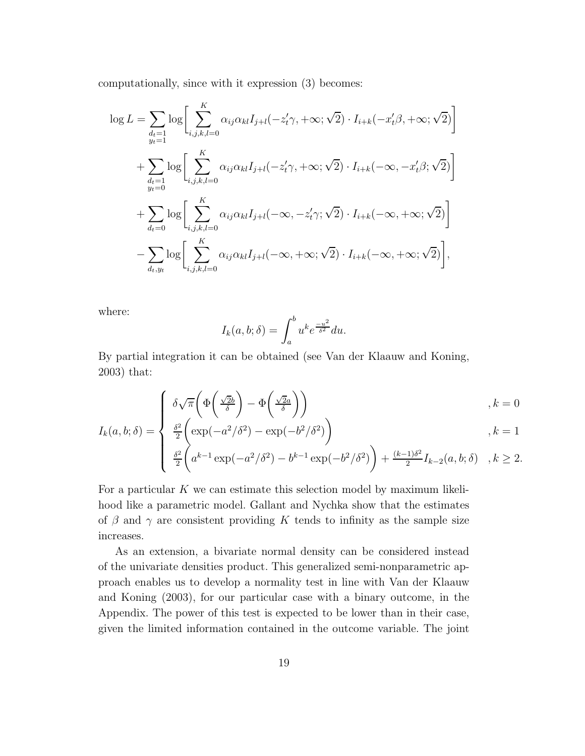computationally, since with it expression (3) becomes:

$$
\log L = \sum_{\substack{d_t=1 \ y_t=1}} \log \left[ \sum_{i,j,k,l=0}^K \alpha_{ij} \alpha_{kl} I_{j+l}(-z'_t \gamma, +\infty; \sqrt{2}) \cdot I_{i+k}(-x'_t \beta, +\infty; \sqrt{2}) \right]
$$
  
+ 
$$
\sum_{\substack{d_t=1 \ y_t=0}} \log \left[ \sum_{i,j,k,l=0}^K \alpha_{ij} \alpha_{kl} I_{j+l}(-z'_t \gamma, +\infty; \sqrt{2}) \cdot I_{i+k}(-\infty, -x'_t \beta; \sqrt{2}) \right]
$$
  
+ 
$$
\sum_{d_t=0} \log \left[ \sum_{i,j,k,l=0}^K \alpha_{ij} \alpha_{kl} I_{j+l}(-\infty, -z'_t \gamma; \sqrt{2}) \cdot I_{i+k}(-\infty, +\infty; \sqrt{2}) \right]
$$
  
- 
$$
\sum_{d_t,y_t} \log \left[ \sum_{i,j,k,l=0}^K \alpha_{ij} \alpha_{kl} I_{j+l}(-\infty, +\infty; \sqrt{2}) \cdot I_{i+k}(-\infty, +\infty; \sqrt{2}) \right],
$$

where:

$$
I_k(a, b; \delta) = \int_a^b u^k e^{\frac{-u^2}{\delta^2}} du.
$$

By partial integration it can be obtained (see Van der Klaauw and Koning, 2003) that:

$$
\delta\sqrt{\pi}\left(\Phi\left(\frac{\sqrt{2}b}{\delta}\right) - \Phi\left(\frac{\sqrt{2}a}{\delta}\right)\right), k = 0
$$
\n
$$
\frac{\delta^2}{\delta^2}\left(\exp\left(-a^2/\delta^2\right) - \exp\left(-b^2/\delta^2\right)\right), k = 1
$$

$$
I_k(a, b; \delta) = \begin{cases} \frac{\delta^2}{2} \left( \exp(-a^2/\delta^2) - \exp(-b^2/\delta^2) \right) & , k = 1 \\ \frac{\delta^2}{2} \left( a^{k-1} \exp(-a^2/\delta^2) - b^{k-1} \exp(-b^2/\delta^2) \right) + \frac{(k-1)\delta^2}{2} I_{k-2}(a, b; \delta) & , k \ge 2. \end{cases}
$$

For a particular  $K$  we can estimate this selection model by maximum likelihood like a parametric model. Gallant and Nychka show that the estimates of  $\beta$  and  $\gamma$  are consistent providing K tends to infinity as the sample size increases.

As an extension, a bivariate normal density can be considered instead of the univariate densities product. This generalized semi-nonparametric approach enables us to develop a normality test in line with Van der Klaauw and Koning (2003), for our particular case with a binary outcome, in the Appendix. The power of this test is expected to be lower than in their case, given the limited information contained in the outcome variable. The joint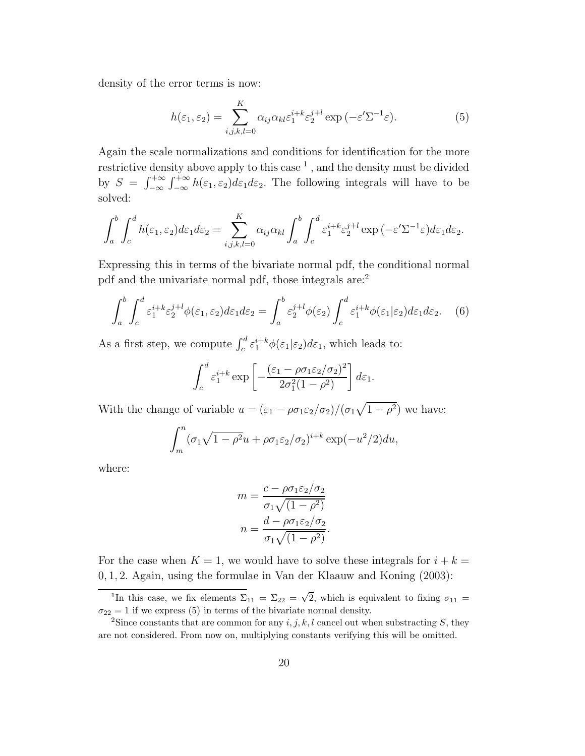density of the error terms is now:

$$
h(\varepsilon_1, \varepsilon_2) = \sum_{i,j,k,l=0}^{K} \alpha_{ij} \alpha_{kl} \varepsilon_1^{i+k} \varepsilon_2^{j+l} \exp\left(-\varepsilon' \Sigma^{-1} \varepsilon\right).
$$
 (5)

Again the scale normalizations and conditions for identification for the more restrictive density above apply to this case  $^1$  , and the density must be divided by  $S = \int_{-\infty}^{+\infty} \int_{-\infty}^{+\infty} h(\varepsilon_1, \varepsilon_2) d\varepsilon_1 d\varepsilon_2$ . The following integrals will have to be solved:

$$
\int_a^b \int_c^d h(\varepsilon_1, \varepsilon_2) d\varepsilon_1 d\varepsilon_2 = \sum_{i,j,k,l=0}^K \alpha_{ij} \alpha_{kl} \int_a^b \int_c^d \varepsilon_1^{i+k} \varepsilon_2^{j+l} \exp\left(-\varepsilon' \Sigma^{-1} \varepsilon\right) d\varepsilon_1 d\varepsilon_2.
$$

Expressing this in terms of the bivariate normal pdf, the conditional normal pdf and the univariate normal pdf, those integrals are:<sup>2</sup>

$$
\int_{a}^{b} \int_{c}^{d} \varepsilon_1^{i+k} \varepsilon_2^{j+l} \phi(\varepsilon_1, \varepsilon_2) d\varepsilon_1 d\varepsilon_2 = \int_{a}^{b} \varepsilon_2^{j+l} \phi(\varepsilon_2) \int_{c}^{d} \varepsilon_1^{i+k} \phi(\varepsilon_1 | \varepsilon_2) d\varepsilon_1 d\varepsilon_2. \tag{6}
$$

As a first step, we compute  $\int_c^d \varepsilon_1^{i+k} \phi(\varepsilon_1 | \varepsilon_2) d\varepsilon_1$ , which leads to:

$$
\int_c^d \varepsilon_1^{i+k} \exp\left[ -\frac{(\varepsilon_1 - \rho \sigma_1 \varepsilon_2/\sigma_2)^2}{2\sigma_1^2 (1-\rho^2)} \right] d\varepsilon_1.
$$

With the change of variable  $u = (\varepsilon_1 - \rho \sigma_1 \varepsilon_2/\sigma_2)/(\sigma_1 \sqrt{1-\rho^2})$  we have:

$$
\int_m^n (\sigma_1 \sqrt{1 - \rho^2} u + \rho \sigma_1 \varepsilon_2 / \sigma_2)^{i+k} \exp(-u^2/2) du,
$$

where:

$$
m = \frac{c - \rho \sigma_1 \varepsilon_2 / \sigma_2}{\sigma_1 \sqrt{(1 - \rho^2)}}
$$

$$
n = \frac{d - \rho \sigma_1 \varepsilon_2 / \sigma_2}{\sigma_1 \sqrt{(1 - \rho^2)}}.
$$

For the case when  $K = 1$ , we would have to solve these integrals for  $i + k =$ 0, 1, 2. Again, using the formulae in Van der Klaauw and Koning (2003):

<sup>&</sup>lt;sup>1</sup>In this case, we fix elements  $\Sigma_{11} = \Sigma_{22} = \sqrt{2}$ , which is equivalent to fixing  $\sigma_{11} =$  $\sigma_{22} = 1$  if we express (5) in terms of the bivariate normal density.

<sup>&</sup>lt;sup>2</sup>Since constants that are common for any  $i, j, k, l$  cancel out when substracting S, they are not considered. From now on, multiplying constants verifying this will be omitted.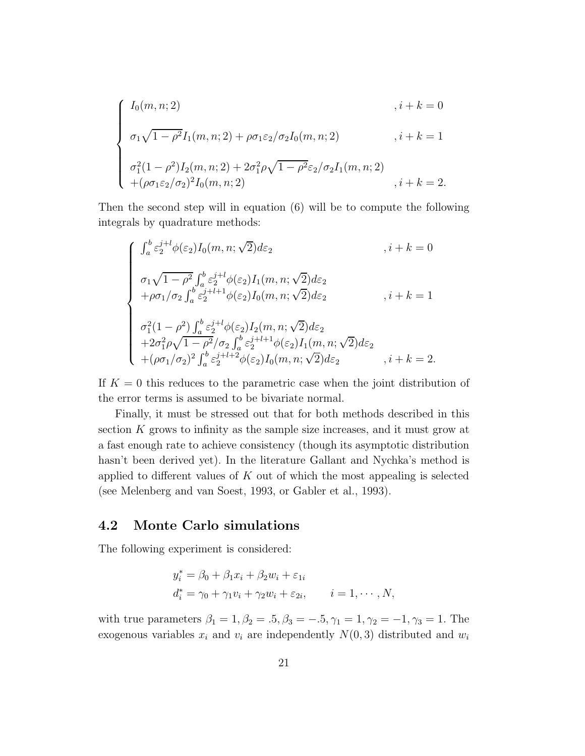$$
\begin{cases}\nI_0(m, n; 2) & , i + k = 0 \\
\sigma_1 \sqrt{1 - \rho^2} I_1(m, n; 2) + \rho \sigma_1 \varepsilon_2 / \sigma_2 I_0(m, n; 2) & , i + k = 1 \\
\sigma_1^2 (1 - \rho^2) I_2(m, n; 2) + 2 \sigma_1^2 \rho \sqrt{1 - \rho^2} \varepsilon_2 / \sigma_2 I_1(m, n; 2) \\
+ (\rho \sigma_1 \varepsilon_2 / \sigma_2)^2 I_0(m, n; 2) & , i + k = 2.\n\end{cases}
$$

Then the second step will in equation (6) will be to compute the following integrals by quadrature methods:

$$
\begin{cases}\n\int_{a}^{b} \varepsilon_{2}^{j+l} \phi(\varepsilon_{2}) I_{0}(m, n; \sqrt{2}) d\varepsilon_{2} & , i + k = 0 \\
\sigma_{1} \sqrt{1 - \rho^{2}} \int_{a}^{b} \varepsilon_{2}^{j+l} \phi(\varepsilon_{2}) I_{1}(m, n; \sqrt{2}) d\varepsilon_{2} & , i + k = 1 \\
+\rho \sigma_{1} / \sigma_{2} \int_{a}^{b} \varepsilon_{2}^{j+l+1} \phi(\varepsilon_{2}) I_{0}(m, n; \sqrt{2}) d\varepsilon_{2} & , i + k = 1 \\
\sigma_{1}^{2} (1 - \rho^{2}) \int_{a}^{b} \varepsilon_{2}^{j+l} \phi(\varepsilon_{2}) I_{2}(m, n; \sqrt{2}) d\varepsilon_{2} & +2\sigma_{1}^{2} \rho \sqrt{1 - \rho^{2}} / \sigma_{2} \int_{a}^{b} \varepsilon_{2}^{j+l+1} \phi(\varepsilon_{2}) I_{1}(m, n; \sqrt{2}) d\varepsilon_{2} & , i + k = 2 \\
+(\rho \sigma_{1} / \sigma_{2})^{2} \int_{a}^{b} \varepsilon_{2}^{j+l+2} \phi(\varepsilon_{2}) I_{0}(m, n; \sqrt{2}) d\varepsilon_{2} & , i + k = 2.\n\end{cases}
$$

If  $K = 0$  this reduces to the parametric case when the joint distribution of the error terms is assumed to be bivariate normal.

Finally, it must be stressed out that for both methods described in this section K grows to infinity as the sample size increases, and it must grow at a fast enough rate to achieve consistency (though its asymptotic distribution hasn't been derived yet). In the literature Gallant and Nychka's method is applied to different values of  $K$  out of which the most appealing is selected (see Melenberg and van Soest, 1993, or Gabler et al., 1993).

### 4.2 Monte Carlo simulations

The following experiment is considered:

$$
y_i^* = \beta_0 + \beta_1 x_i + \beta_2 w_i + \varepsilon_{1i}
$$
  
\n
$$
d_i^* = \gamma_0 + \gamma_1 v_i + \gamma_2 w_i + \varepsilon_{2i}, \qquad i = 1, \cdots, N,
$$

with true parameters  $\beta_1 = 1, \beta_2 = .5, \beta_3 = -.5, \gamma_1 = 1, \gamma_2 = -1, \gamma_3 = 1$ . The exogenous variables  $x_i$  and  $v_i$  are independently  $N(0, 3)$  distributed and  $w_i$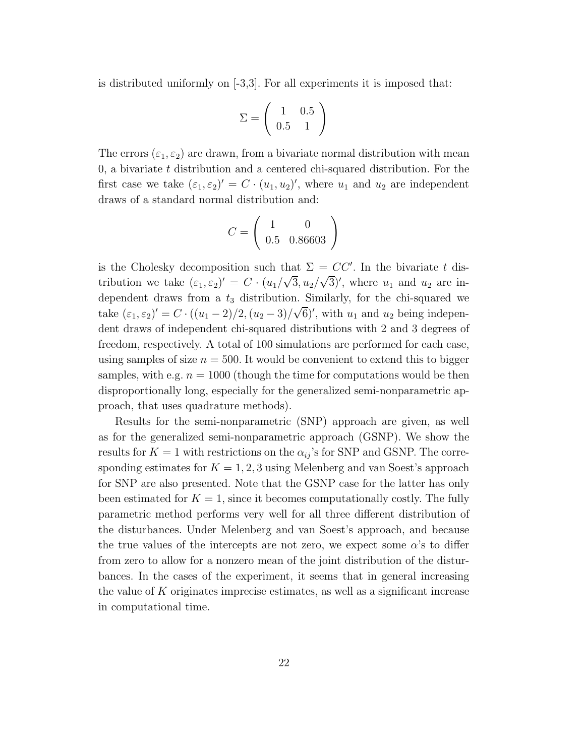is distributed uniformly on  $[-3,3]$ . For all experiments it is imposed that:

$$
\Sigma = \left(\begin{array}{cc} 1 & 0.5\\ 0.5 & 1 \end{array}\right)
$$

The errors  $(\varepsilon_1, \varepsilon_2)$  are drawn, from a bivariate normal distribution with mean 0, a bivariate  $t$  distribution and a centered chi-squared distribution. For the first case we take  $(\varepsilon_1, \varepsilon_2)' = C \cdot (u_1, u_2)'$ , where  $u_1$  and  $u_2$  are independent draws of a standard normal distribution and:

$$
C = \left(\begin{array}{cc} 1 & 0\\ 0.5 & 0.86603 \end{array}\right)
$$

is the Cholesky decomposition such that  $\Sigma = CC'$ . In the bivariate t distribution we take  $(\varepsilon_1, \varepsilon_2)' = C \cdot (u_1/\sqrt{3}, u_2/\sqrt{3})'$ , where  $u_1$  and  $u_2$  are independent draws from a  $t_3$  distribution. Similarly, for the chi-squared we take  $(\varepsilon_1, \varepsilon_2)' = C \cdot ((u_1 - 2)/2, (u_2 - 3)/\sqrt{6})'$ , with  $u_1$  and  $u_2$  being independent draws of independent chi-squared distributions with 2 and 3 degrees of freedom, respectively. A total of 100 simulations are performed for each case, using samples of size  $n = 500$ . It would be convenient to extend this to bigger samples, with e.g.  $n = 1000$  (though the time for computations would be then disproportionally long, especially for the generalized semi-nonparametric approach, that uses quadrature methods).

Results for the semi-nonparametric (SNP) approach are given, as well as for the generalized semi-nonparametric approach (GSNP). We show the results for  $K = 1$  with restrictions on the  $\alpha_{ij}$ 's for SNP and GSNP. The corresponding estimates for  $K = 1, 2, 3$  using Melenberg and van Soest's approach for SNP are also presented. Note that the GSNP case for the latter has only been estimated for  $K = 1$ , since it becomes computationally costly. The fully parametric method performs very well for all three different distribution of the disturbances. Under Melenberg and van Soest's approach, and because the true values of the intercepts are not zero, we expect some  $\alpha$ 's to differ from zero to allow for a nonzero mean of the joint distribution of the disturbances. In the cases of the experiment, it seems that in general increasing the value of  $K$  originates imprecise estimates, as well as a significant increase in computational time.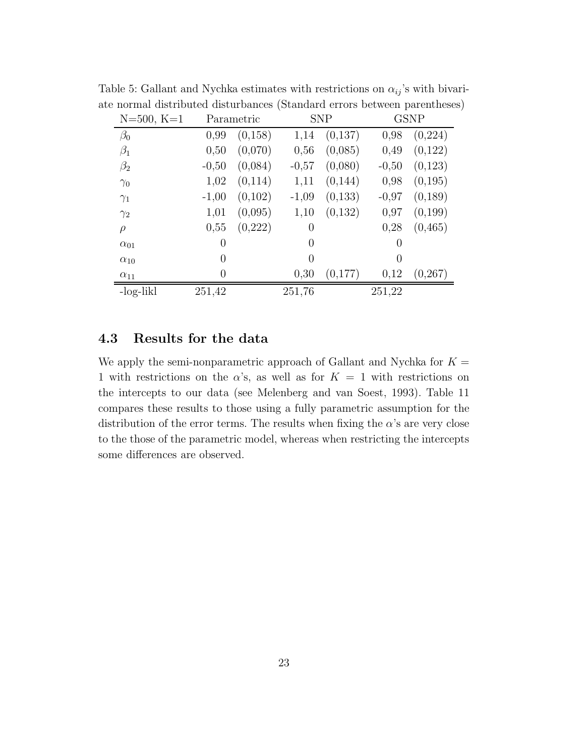| $N = 500, K = 1$ |         | Parametric |          | <b>SNP</b> |          | <b>GSNP</b> |
|------------------|---------|------------|----------|------------|----------|-------------|
| $\beta_0$        | 0,99    | (0, 158)   | 1,14     | (0,137)    | 0,98     | (0,224)     |
| $\beta_1$        | 0,50    | (0,070)    | 0,56     | (0,085)    | 0,49     | (0,122)     |
| $\beta_2$        | $-0,50$ | (0,084)    | $-0,57$  | (0,080)    | $-0,50$  | (0,123)     |
| $\gamma_0$       | 1,02    | (0,114)    | 1,11     | (0,144)    | 0,98     | (0,195)     |
| $\gamma_1$       | $-1,00$ | (0,102)    | $-1,09$  | (0,133)    | $-0,97$  | (0,189)     |
| $\gamma_2$       | 1,01    | (0,095)    | 1,10     | (0,132)    | 0,97     | (0,199)     |
| $\rho$           | 0,55    | (0,222)    | $\theta$ |            | 0,28     | (0, 465)    |
| $\alpha_{01}$    | 0       |            | $\Omega$ |            | $\theta$ |             |
| $\alpha_{10}$    | 0       |            | $\theta$ |            | $\theta$ |             |
| $\alpha_{11}$    | 0       |            | 0,30     | (0,177)    | 0,12     | (0, 267)    |
| -log-likl        | 251,42  |            | 251,76   |            | 251,22   |             |

Table 5: Gallant and Nychka estimates with restrictions on  $\alpha_{ij}$ 's with bivariate normal distributed disturbances (Standard errors between parentheses)

### 4.3 Results for the data

We apply the semi-nonparametric approach of Gallant and Nychka for  $K =$ 1 with restrictions on the  $\alpha$ 's, as well as for  $K = 1$  with restrictions on the intercepts to our data (see Melenberg and van Soest, 1993). Table 11 compares these results to those using a fully parametric assumption for the distribution of the error terms. The results when fixing the  $\alpha$ 's are very close to the those of the parametric model, whereas when restricting the intercepts some differences are observed.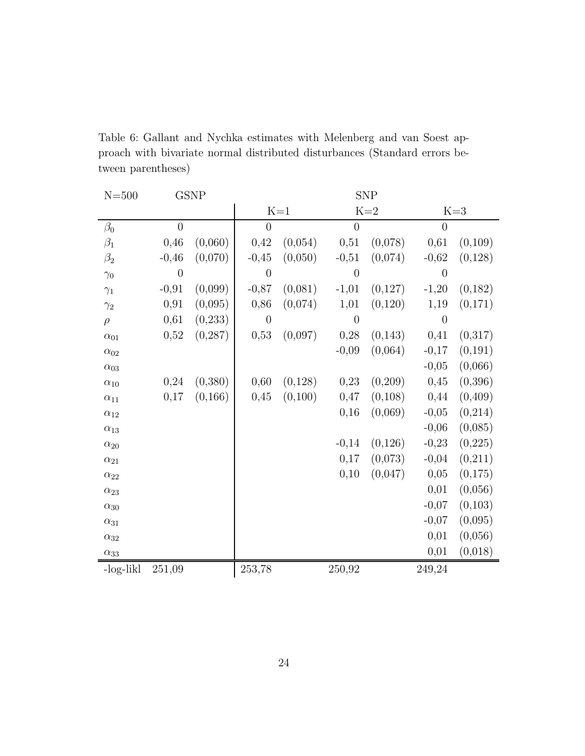| $N = 500$     |                  | <b>GSNP</b> | <b>SNP</b>     |                  |                |          |                |          |  |
|---------------|------------------|-------------|----------------|------------------|----------------|----------|----------------|----------|--|
|               |                  |             |                | $\mathbf{K}{=}1$ |                | $K=2$    | $K=3$          |          |  |
| $\beta_0$     | $\overline{0}$   |             | $\overline{0}$ |                  | $\overline{0}$ |          | $\overline{0}$ |          |  |
| $\beta_1$     | 0,46             | (0,060)     | 0,42           | (0,054)          | 0,51           | (0,078)  | 0,61           | (0,109)  |  |
| $\beta_2$     | $-0,46$          | (0,070)     | $-0,45$        | (0,050)          | $-0,51$        | (0,074)  | $-0,62$        | (0,128)  |  |
| $\gamma_0$    | $\boldsymbol{0}$ |             | $\overline{0}$ |                  | $\overline{0}$ |          | $\overline{0}$ |          |  |
| $\gamma_1$    | $-0,91$          | (0,099)     | $-0,87$        | (0,081)          | $-1,01$        | (0,127)  | $-1,20$        | (0,182)  |  |
| $\gamma_2$    | 0,91             | (0,095)     | 0,86           | (0,074)          | 1,01           | (0,120)  | 1,19           | (0,171)  |  |
| $\rho$        | 0,61             | (0, 233)    | $\theta$       |                  | $\overline{0}$ |          | $\overline{0}$ |          |  |
| $\alpha_{01}$ | 0,52             | (0, 287)    | 0,53           | (0,097)          | 0,28           | (0,143)  | 0,41           | (0,317)  |  |
| $\alpha_{02}$ |                  |             |                |                  | $-0,09$        | (0,064)  | $-0,17$        | (0, 191) |  |
| $\alpha_{03}$ |                  |             |                |                  |                |          | $-0,05$        | (0,066)  |  |
| $\alpha_{10}$ | 0,24             | (0,380)     | 0,60           | (0,128)          | 0,23           | (0,209)  | 0,45           | (0, 396) |  |
| $\alpha_{11}$ | 0,17             | (0, 166)    | 0,45           | (0,100)          | 0,47           | (0,108)  | 0,44           | (0, 409) |  |
| $\alpha_{12}$ |                  |             |                |                  | 0,16           | (0,069)  | $-0,05$        | (0,214)  |  |
| $\alpha_{13}$ |                  |             |                |                  |                |          | $-0,06$        | (0,085)  |  |
| $\alpha_{20}$ |                  |             |                |                  | $-0,14$        | (0, 126) | $-0,23$        | (0, 225) |  |
| $\alpha_{21}$ |                  |             |                |                  | 0,17           | (0,073)  | $-0,04$        | (0,211)  |  |
| $\alpha_{22}$ |                  |             |                |                  | 0,10           | (0,047)  | 0,05           | (0,175)  |  |
| $\alpha_{23}$ |                  |             |                |                  |                |          | 0,01           | (0,056)  |  |
| $\alpha_{30}$ |                  |             |                |                  |                |          | $-0,07$        | (0,103)  |  |
| $\alpha_{31}$ |                  |             |                |                  |                |          | $-0,07$        | (0,095)  |  |
| $\alpha_{32}$ |                  |             |                |                  |                |          | 0,01           | (0,056)  |  |
| $\alpha_{33}$ |                  |             |                |                  |                |          | 0,01           | (0,018)  |  |
| -log-likl     | 251,09           |             | 253,78         |                  | 250,92         |          | 249,24         |          |  |

Table 6: Gallant and Nychka estimates with Melenberg and van Soest approach with bivariate normal distributed disturbances (Standard errors between parentheses)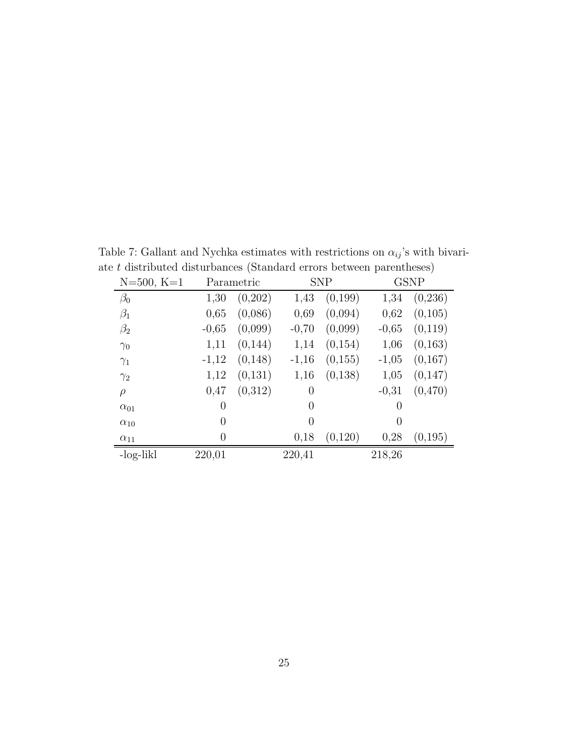| $N = 500, K = 1$ |                | Parametric |                | <b>SNP</b> |          | <b>GSNP</b> |
|------------------|----------------|------------|----------------|------------|----------|-------------|
| $\beta_0$        | 1,30           | (0,202)    | 1,43           | (0,199)    | 1,34     | (0, 236)    |
| $\beta_1$        | 0,65           | (0,086)    | 0,69           | (0,094)    | 0,62     | (0,105)     |
| $\beta_2$        | $-0,65$        | (0,099)    | $-0,70$        | (0,099)    | $-0,65$  | (0,119)     |
| $\gamma_0$       | 1,11           | (0,144)    | 1,14           | (0,154)    | 1,06     | (0,163)     |
| $\gamma_1$       | $-1,12$        | (0,148)    | $-1,16$        | (0,155)    | $-1,05$  | (0,167)     |
| $\gamma_2$       | 1,12           | (0,131)    | 1,16           | (0,138)    | 1,05     | (0,147)     |
| $\rho$           | 0,47           | (0,312)    | $\overline{0}$ |            | $-0,31$  | (0,470)     |
| $\alpha_{01}$    | $\overline{0}$ |            | $\overline{0}$ |            | $\theta$ |             |
| $\alpha_{10}$    | $\theta$       |            | $\Omega$       |            | $\Omega$ |             |
| $\alpha_{11}$    | $\theta$       |            | 0,18           | (0,120)    | 0,28     | (0,195)     |
| -log-likl        | 220,01         |            | 220,41         |            | 218,26   |             |

Table 7: Gallant and Nychka estimates with restrictions on  $\alpha_{ij}$  's with bivariate $t$  distributed disturbances (Standard errors between parentheses)  $\,$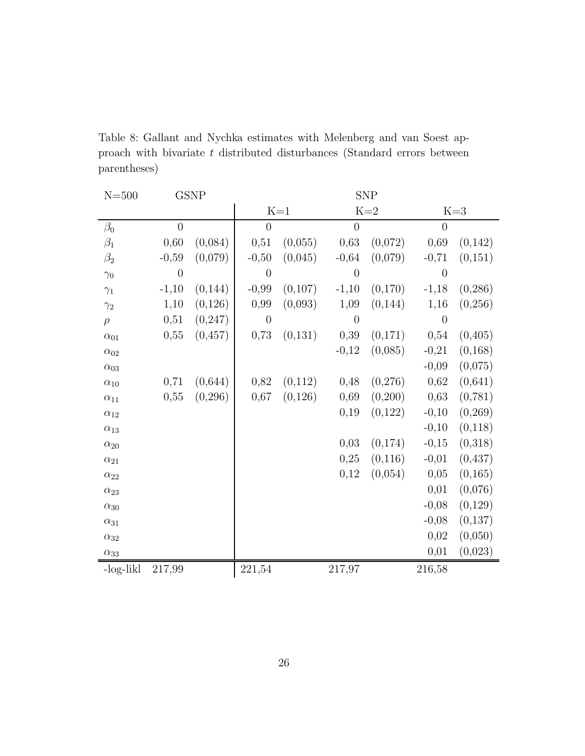| $N = 500$     |          | <b>GSNP</b> | <b>SNP</b>     |         |                |         |                |          |
|---------------|----------|-------------|----------------|---------|----------------|---------|----------------|----------|
|               |          |             |                | $K=1$   |                | $K=2$   |                | $K=3$    |
| $\beta_0$     | $\theta$ |             | $\overline{0}$ |         | $\theta$       |         | $\theta$       |          |
| $\beta_1$     | 0,60     | (0,084)     | 0,51           | (0,055) | 0,63           | (0,072) | 0,69           | (0,142)  |
| $\beta_2$     | $-0,59$  | (0,079)     | $-0,50$        | (0,045) | $-0,64$        | (0,079) | $-0,71$        | (0,151)  |
| $\gamma_0$    | $\theta$ |             | $\overline{0}$ |         | $\overline{0}$ |         | $\overline{0}$ |          |
| $\gamma_1$    | $-1,10$  | (0, 144)    | $-0,99$        | (0,107) | $-1,10$        | (0,170) | $-1,18$        | (0, 286) |
| $\gamma_2$    | 1,10     | (0,126)     | 0,99           | (0,093) | 1,09           | (0,144) | 1,16           | (0,256)  |
| $\rho$        | 0,51     | (0, 247)    | $\overline{0}$ |         | $\theta$       |         | $\overline{0}$ |          |
| $\alpha_{01}$ | 0,55     | (0, 457)    | 0,73           | (0,131) | 0,39           | (0,171) | 0,54           | (0,405)  |
| $\alpha_{02}$ |          |             |                |         | $-0,12$        | (0,085) | $-0,21$        | (0, 168) |
| $\alpha_{03}$ |          |             |                |         |                |         | $-0,09$        | (0,075)  |
| $\alpha_{10}$ | 0,71     | (0,644)     | 0,82           | (0,112) | 0,48           | (0,276) | 0,62           | (0,641)  |
| $\alpha_{11}$ | 0,55     | (0, 296)    | 0,67           | (0,126) | 0,69           | (0,200) | 0,63           | (0, 781) |
| $\alpha_{12}$ |          |             |                |         | 0,19           | (0,122) | $-0,10$        | (0, 269) |
| $\alpha_{13}$ |          |             |                |         |                |         | $-0,10$        | (0,118)  |
| $\alpha_{20}$ |          |             |                |         | 0,03           | (0,174) | $-0,15$        | (0,318)  |
| $\alpha_{21}$ |          |             |                |         | 0,25           | (0,116) | $-0,01$        | (0, 437) |
| $\alpha_{22}$ |          |             |                |         | 0,12           | (0,054) | 0,05           | (0, 165) |
| $\alpha_{23}$ |          |             |                |         |                |         | 0,01           | (0,076)  |
| $\alpha_{30}$ |          |             |                |         |                |         | $-0,08$        | (0,129)  |
| $\alpha_{31}$ |          |             |                |         |                |         | $-0,08$        | (0,137)  |
| $\alpha_{32}$ |          |             |                |         |                |         | 0,02           | (0,050)  |
| $\alpha_{33}$ |          |             |                |         |                |         | 0,01           | (0,023)  |
| -log-likl     | 217,99   |             | 221,54         |         | 217,97         |         | 216,58         |          |

Table 8: Gallant and Nychka estimates with Melenberg and van Soest approach with bivariate  $t$  distributed disturbances (Standard errors between parentheses)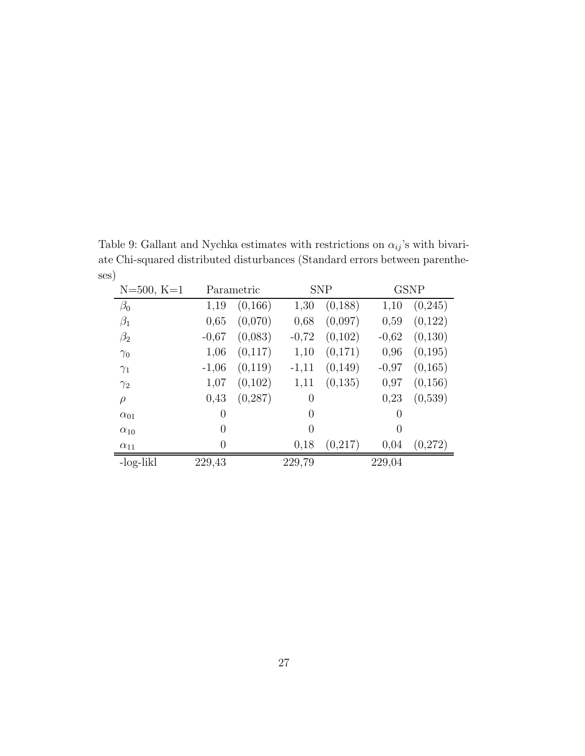Table 9: Gallant and Nychka estimates with restrictions on  $\alpha_{ij}$  's with bivariate Chi-squared distributed disturbances (Standard errors between parentheses)

| $N = 500, K = 1$ |                | Parametric |                | <b>SNP</b> |          | <b>GSNP</b> |  |
|------------------|----------------|------------|----------------|------------|----------|-------------|--|
| $\beta_0$        | 1,19           | (0,166)    | 1,30           | (0, 188)   | 1,10     | (0,245)     |  |
| $\beta_1$        | 0,65           | (0,070)    | 0,68           | (0,097)    | 0,59     | (0,122)     |  |
| $\beta_2$        | $-0,67$        | (0,083)    | $-0,72$        | (0,102)    | $-0,62$  | (0,130)     |  |
| $\gamma_0$       | 1,06           | (0,117)    | 1,10           | (0,171)    | 0,96     | (0,195)     |  |
| $\gamma_1$       | $-1,06$        | (0,119)    | $-1,11$        | (0,149)    | $-0.97$  | (0,165)     |  |
| $\gamma_2$       | 1,07           | (0,102)    | 1,11           | (0,135)    | 0,97     | (0,156)     |  |
| $\rho$           | 0,43           | (0, 287)   | $\overline{0}$ |            | 0,23     | (0,539)     |  |
| $\alpha_{01}$    | $\overline{0}$ |            | $\Omega$       |            | $\theta$ |             |  |
| $\alpha_{10}$    | $\theta$       |            | $\Omega$       |            | $\Omega$ |             |  |
| $\alpha_{11}$    | 0              |            | 0,18           | (0,217)    | 0,04     | (0,272)     |  |
| -log-likl        | 229,43         |            | 229,79         |            | 229,04   |             |  |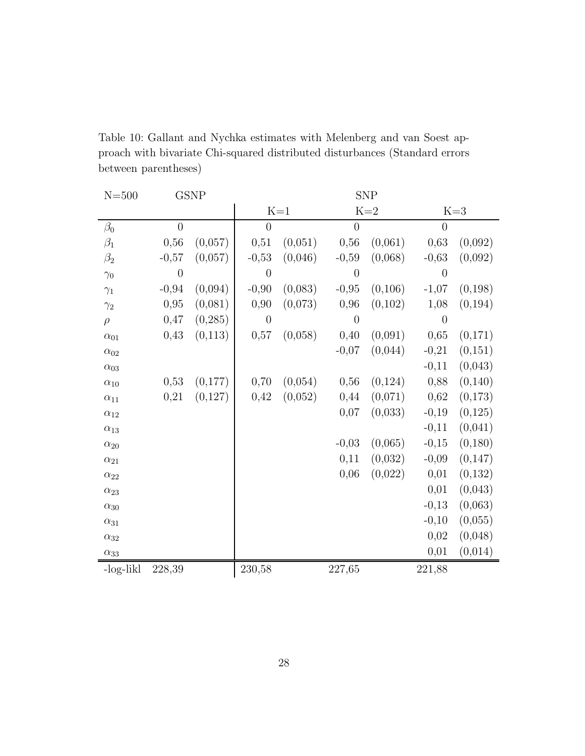| $N = 500$     |                | <b>GSNP</b> | <b>SNP</b>     |                  |                |         |                |          |
|---------------|----------------|-------------|----------------|------------------|----------------|---------|----------------|----------|
|               |                |             |                | $\mathbf{K}{=}1$ |                | $K=2$   |                | $K=3$    |
| $\beta_0$     | $\overline{0}$ |             | $\overline{0}$ |                  | $\overline{0}$ |         | $\overline{0}$ |          |
| $\beta_1$     | 0,56           | (0,057)     | 0,51           | (0,051)          | 0,56           | (0,061) | 0,63           | (0,092)  |
| $\beta_2$     | $-0,57$        | (0,057)     | $-0,53$        | (0,046)          | $-0,59$        | (0,068) | $-0,63$        | (0,092)  |
| $\gamma_0$    | $\overline{0}$ |             | $\overline{0}$ |                  | $\overline{0}$ |         | $\overline{0}$ |          |
| $\gamma_1$    | $-0,94$        | (0,094)     | $-0,90$        | (0,083)          | $-0,95$        | (0,106) | $-1,07$        | (0, 198) |
| $\gamma_2$    | 0,95           | (0,081)     | 0,90           | (0,073)          | 0,96           | (0,102) | 1,08           | (0, 194) |
| $\rho$        | 0,47           | (0, 285)    | $\overline{0}$ |                  | $\overline{0}$ |         | $\overline{0}$ |          |
| $\alpha_{01}$ | 0,43           | (0,113)     | 0,57           | (0,058)          | 0,40           | (0,091) | 0,65           | (0,171)  |
| $\alpha_{02}$ |                |             |                |                  | $-0,07$        | (0,044) | $-0,21$        | (0,151)  |
| $\alpha_{03}$ |                |             |                |                  |                |         | $-0,11$        | (0,043)  |
| $\alpha_{10}$ | 0,53           | (0,177)     | 0,70           | (0,054)          | 0,56           | (0,124) | 0,88           | (0, 140) |
| $\alpha_{11}$ | 0,21           | (0,127)     | 0,42           | (0,052)          | 0,44           | (0,071) | 0,62           | (0,173)  |
| $\alpha_{12}$ |                |             |                |                  | 0,07           | (0,033) | $-0,19$        | (0, 125) |
| $\alpha_{13}$ |                |             |                |                  |                |         | $-0,11$        | (0,041)  |
| $\alpha_{20}$ |                |             |                |                  | $-0,03$        | (0,065) | $-0,15$        | (0,180)  |
| $\alpha_{21}$ |                |             |                |                  | 0,11           | (0,032) | $-0,09$        | (0, 147) |
| $\alpha_{22}$ |                |             |                |                  | 0,06           | (0,022) | 0,01           | (0,132)  |
| $\alpha_{23}$ |                |             |                |                  |                |         | 0,01           | (0,043)  |
| $\alpha_{30}$ |                |             |                |                  |                |         | $-0,13$        | (0,063)  |
| $\alpha_{31}$ |                |             |                |                  |                |         | $-0,10$        | (0,055)  |
| $\alpha_{32}$ |                |             |                |                  |                |         | 0,02           | (0,048)  |
| $\alpha_{33}$ |                |             |                |                  |                |         | 0,01           | (0,014)  |
| -log-likl     | 228,39         |             | 230,58         |                  | 227,65         |         | 221,88         |          |

Table 10: Gallant and Nychka estimates with Melenberg and van Soest approach with bivariate Chi-squared distributed disturbances (Standard errors between parentheses)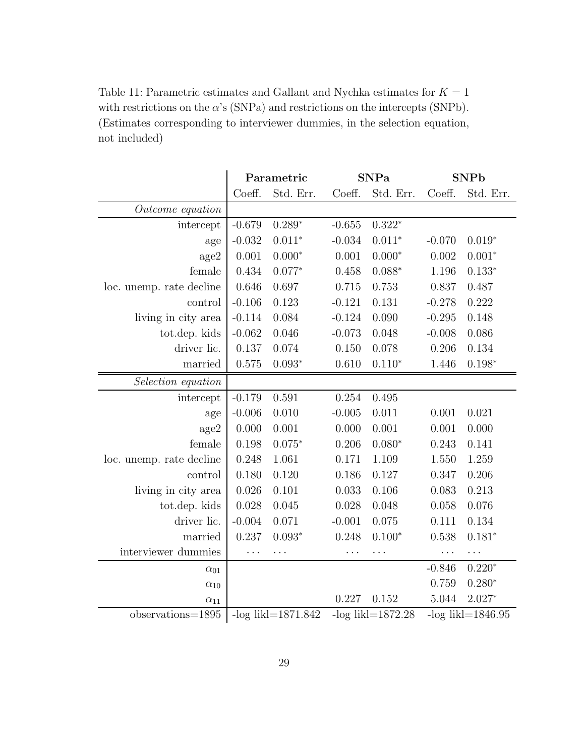|                          |          | Parametric            |          | <b>SNPa</b>           | <b>SNPb</b> |                     |  |
|--------------------------|----------|-----------------------|----------|-----------------------|-------------|---------------------|--|
|                          | Coeff.   | Std. Err.             | Coeff.   | Std. Err.             | Coeff.      | Std. Err.           |  |
| Outcome equation         |          |                       |          |                       |             |                     |  |
| intercept                | $-0.679$ | $0.289*$              | $-0.655$ | $0.322*$              |             |                     |  |
| age                      | $-0.032$ | $0.011*$              | $-0.034$ | $0.011*$              | $-0.070$    | $0.019*$            |  |
| age2                     | 0.001    | $0.000*$              | 0.001    | $0.000*$              | 0.002       | $0.001*$            |  |
| female                   | 0.434    | $0.077*$              | 0.458    | $0.088*$              | 1.196       | $0.133*$            |  |
| loc. unemp. rate decline | 0.646    | 0.697                 | 0.715    | 0.753                 | 0.837       | 0.487               |  |
| control                  | $-0.106$ | 0.123                 | $-0.121$ | 0.131                 | $-0.278$    | 0.222               |  |
| living in city area      | $-0.114$ | 0.084                 | $-0.124$ | 0.090                 | $-0.295$    | 0.148               |  |
| tot.dep. kids            | $-0.062$ | 0.046                 | $-0.073$ | 0.048                 | $-0.008$    | 0.086               |  |
| driver lic.              | 0.137    | 0.074                 | 0.150    | 0.078                 | 0.206       | 0.134               |  |
| married                  | 0.575    | $0.093*$              | 0.610    | $0.110*$              | 1.446       | $0.198*$            |  |
| Selection equation       |          |                       |          |                       |             |                     |  |
| intercept                | $-0.179$ | 0.591                 | 0.254    | 0.495                 |             |                     |  |
| age                      | $-0.006$ | 0.010                 | $-0.005$ | 0.011                 | 0.001       | 0.021               |  |
| age2                     | 0.000    | 0.001                 | 0.000    | 0.001                 | 0.001       | 0.000               |  |
| female                   | 0.198    | $0.075*$              | 0.206    | $0.080*$              | 0.243       | 0.141               |  |
| loc. unemp. rate decline | 0.248    | 1.061                 | 0.171    | 1.109                 | 1.550       | 1.259               |  |
| control                  | 0.180    | 0.120                 | 0.186    | 0.127                 | 0.347       | 0.206               |  |
| living in city area      | 0.026    | 0.101                 | 0.033    | 0.106                 | 0.083       | 0.213               |  |
| tot.dep. kids            | 0.028    | 0.045                 | 0.028    | 0.048                 | 0.058       | 0.076               |  |
| driver lic.              | $-0.004$ | 0.071                 | $-0.001$ | 0.075                 | 0.111       | 0.134               |  |
| married                  | 0.237    | $0.093*$              | 0.248    | $0.100*$              | 0.538       | $0.181*$            |  |
| interviewer dummies      | .        | .                     | .        | .                     | $\cdots$    | $\cdots$            |  |
| $\alpha_{01}$            |          |                       |          |                       | $-0.846$    | $0.220*$            |  |
| $\alpha_{10}$            |          |                       |          |                       | 0.759       | $0.280*$            |  |
| $\alpha_{11}$            |          |                       | 0.227    | 0.152                 | 5.044       | $2.027*$            |  |
| $observations = 1895$    |          | $-log lik = 1871.842$ |          | $-log likl = 1872.28$ |             | $-log$ likl=1846.95 |  |

Table 11: Parametric estimates and Gallant and Nychka estimates for  $K=\mathbf{1}$ with restrictions on the  $\alpha$ 's (SNPa) and restrictions on the intercepts (SNPb). (Estimates corresponding to interviewer dummies, in the selection equation, not included)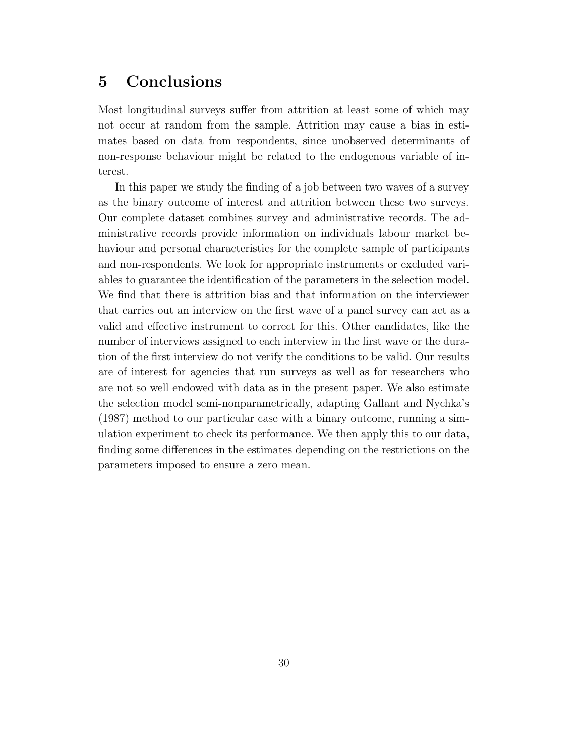### 5 Conclusions

Most longitudinal surveys suffer from attrition at least some of which may not occur at random from the sample. Attrition may cause a bias in estimates based on data from respondents, since unobserved determinants of non-response behaviour might be related to the endogenous variable of interest.

In this paper we study the finding of a job between two waves of a survey as the binary outcome of interest and attrition between these two surveys. Our complete dataset combines survey and administrative records. The administrative records provide information on individuals labour market behaviour and personal characteristics for the complete sample of participants and non-respondents. We look for appropriate instruments or excluded variables to guarantee the identification of the parameters in the selection model. We find that there is attrition bias and that information on the interviewer that carries out an interview on the first wave of a panel survey can act as a valid and effective instrument to correct for this. Other candidates, like the number of interviews assigned to each interview in the first wave or the duration of the first interview do not verify the conditions to be valid. Our results are of interest for agencies that run surveys as well as for researchers who are not so well endowed with data as in the present paper. We also estimate the selection model semi-nonparametrically, adapting Gallant and Nychka's (1987) method to our particular case with a binary outcome, running a simulation experiment to check its performance. We then apply this to our data, finding some differences in the estimates depending on the restrictions on the parameters imposed to ensure a zero mean.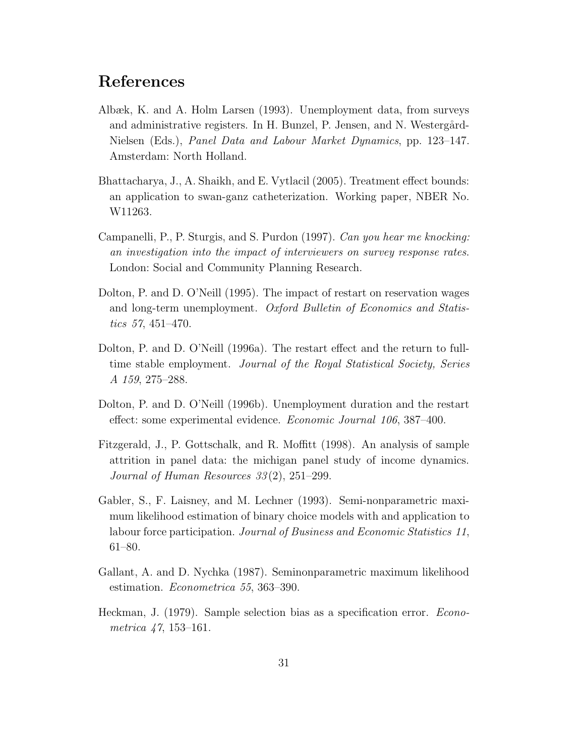### References

- Albæk, K. and A. Holm Larsen (1993). Unemployment data, from surveys and administrative registers. In H. Bunzel, P. Jensen, and N. Westergård-Nielsen (Eds.), Panel Data and Labour Market Dynamics, pp. 123–147. Amsterdam: North Holland.
- Bhattacharya, J., A. Shaikh, and E. Vytlacil (2005). Treatment effect bounds: an application to swan-ganz catheterization. Working paper, NBER No. W11263.
- Campanelli, P., P. Sturgis, and S. Purdon (1997). Can you hear me knocking: an investigation into the impact of interviewers on survey response rates. London: Social and Community Planning Research.
- Dolton, P. and D. O'Neill (1995). The impact of restart on reservation wages and long-term unemployment. Oxford Bulletin of Economics and Statistics 57, 451–470.
- Dolton, P. and D. O'Neill (1996a). The restart effect and the return to fulltime stable employment. Journal of the Royal Statistical Society, Series A 159, 275–288.
- Dolton, P. and D. O'Neill (1996b). Unemployment duration and the restart effect: some experimental evidence. Economic Journal 106, 387–400.
- Fitzgerald, J., P. Gottschalk, and R. Moffitt (1998). An analysis of sample attrition in panel data: the michigan panel study of income dynamics. Journal of Human Resources 33 (2), 251–299.
- Gabler, S., F. Laisney, and M. Lechner (1993). Semi-nonparametric maximum likelihood estimation of binary choice models with and application to labour force participation. Journal of Business and Economic Statistics 11, 61–80.
- Gallant, A. and D. Nychka (1987). Seminonparametric maximum likelihood estimation. Econometrica 55, 363–390.
- Heckman, J. (1979). Sample selection bias as a specification error. Econometrica 47, 153–161.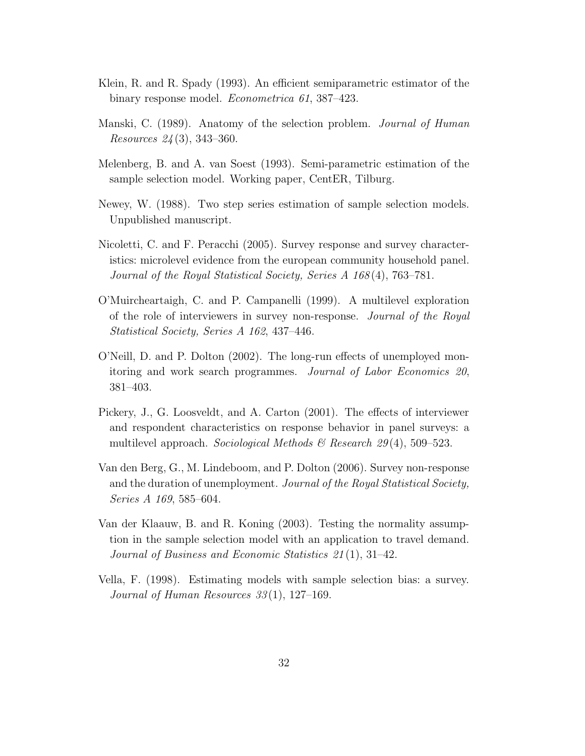- Klein, R. and R. Spady (1993). An efficient semiparametric estimator of the binary response model. Econometrica 61, 387–423.
- Manski, C. (1989). Anatomy of the selection problem. Journal of Human Resources 24 (3), 343–360.
- Melenberg, B. and A. van Soest (1993). Semi-parametric estimation of the sample selection model. Working paper, CentER, Tilburg.
- Newey, W. (1988). Two step series estimation of sample selection models. Unpublished manuscript.
- Nicoletti, C. and F. Peracchi (2005). Survey response and survey characteristics: microlevel evidence from the european community household panel. Journal of the Royal Statistical Society, Series A 168 (4), 763–781.
- O'Muircheartaigh, C. and P. Campanelli (1999). A multilevel exploration of the role of interviewers in survey non-response. Journal of the Royal Statistical Society, Series A 162, 437–446.
- O'Neill, D. and P. Dolton (2002). The long-run effects of unemployed monitoring and work search programmes. Journal of Labor Economics 20, 381–403.
- Pickery, J., G. Loosveldt, and A. Carton (2001). The effects of interviewer and respondent characteristics on response behavior in panel surveys: a multilevel approach. Sociological Methods & Research 29(4), 509–523.
- Van den Berg, G., M. Lindeboom, and P. Dolton (2006). Survey non-response and the duration of unemployment. Journal of the Royal Statistical Society, Series A 169, 585–604.
- Van der Klaauw, B. and R. Koning (2003). Testing the normality assumption in the sample selection model with an application to travel demand. Journal of Business and Economic Statistics 21 (1), 31–42.
- Vella, F. (1998). Estimating models with sample selection bias: a survey. Journal of Human Resources 33(1), 127–169.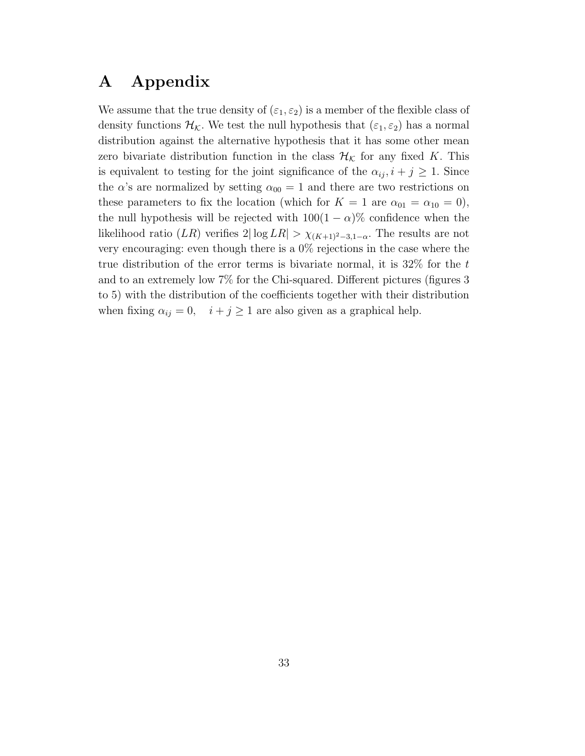### A Appendix

We assume that the true density of  $(\varepsilon_1, \varepsilon_2)$  is a member of the flexible class of density functions  $\mathcal{H}_{\mathcal{K}}$ . We test the null hypothesis that  $(\varepsilon_1, \varepsilon_2)$  has a normal distribution against the alternative hypothesis that it has some other mean zero bivariate distribution function in the class  $\mathcal{H}_{\mathcal{K}}$  for any fixed K. This is equivalent to testing for the joint significance of the  $\alpha_{ij}$ ,  $i + j \geq 1$ . Since the  $\alpha$ 's are normalized by setting  $\alpha_{00} = 1$  and there are two restrictions on these parameters to fix the location (which for  $K = 1$  are  $\alpha_{01} = \alpha_{10} = 0$ ), the null hypothesis will be rejected with  $100(1 - \alpha)\%$  confidence when the likelihood ratio (LR) verifies  $2|\log LR| > \chi_{(K+1)^2-3,1-\alpha}$ . The results are not very encouraging: even though there is a 0% rejections in the case where the true distribution of the error terms is bivariate normal, it is  $32\%$  for the t and to an extremely low 7% for the Chi-squared. Different pictures (figures 3 to 5) with the distribution of the coefficients together with their distribution when fixing  $\alpha_{ij} = 0$ ,  $i + j \ge 1$  are also given as a graphical help.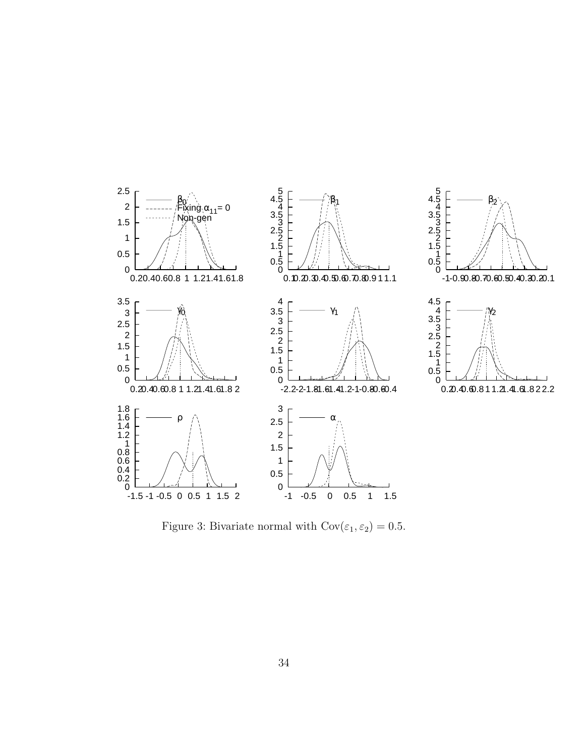

Figure 3: Bivariate normal with  $\text{Cov}(\varepsilon_1, \varepsilon_2) = 0.5$ .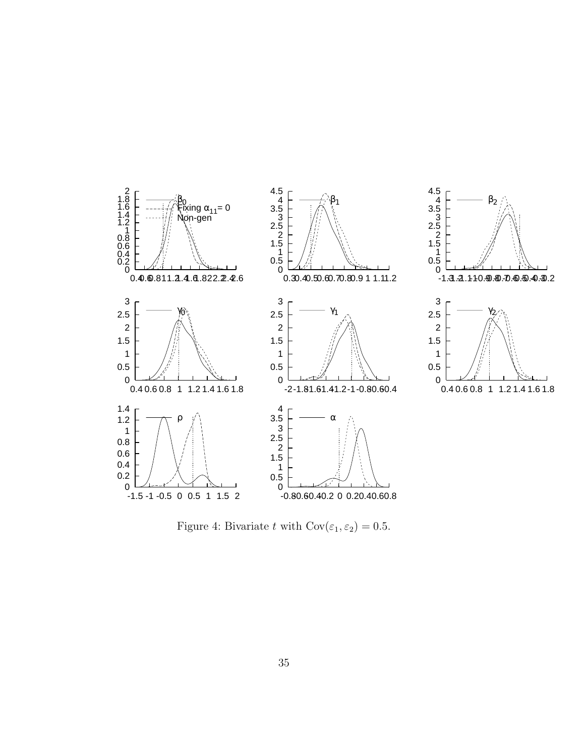

Figure 4: Bivariate t with  $Cov(\varepsilon_1, \varepsilon_2) = 0.5$ .